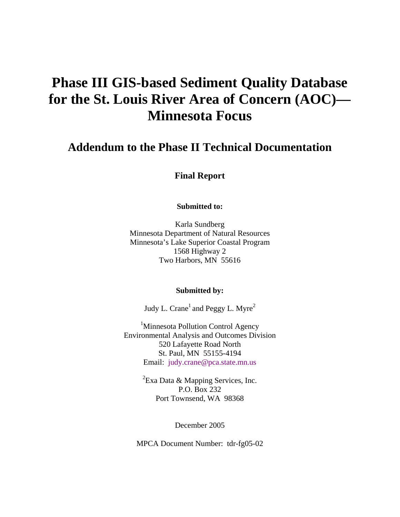# **Phase III GIS-based Sediment Quality Database for the St. Louis River Area of Concern (AOC)— Minnesota Focus**

# **Addendum to the Phase II Technical Documentation**

**Final Report** 

**Submitted to:** 

Karla Sundberg Minnesota Department of Natural Resources Minnesota's Lake Superior Coastal Program 1568 Highway 2 Two Harbors, MN 55616

#### **Submitted by:**

Judy L. Crane<sup>1</sup> and Peggy L. Myre<sup>2</sup>

<sup>1</sup>Minnesota Pollution Control Agency Environmental Analysis and Outcomes Division 520 Lafayette Road North St. Paul, MN 55155-4194 Email: [judy.crane@pca.state.mn.us](mailto:judy.crane@pca.state.mn.us)

> ${}^{2}$ Exa Data & Mapping Services, Inc. P.O. Box 232 Port Townsend, WA 98368

> > December 2005

MPCA Document Number: tdr-fg05-02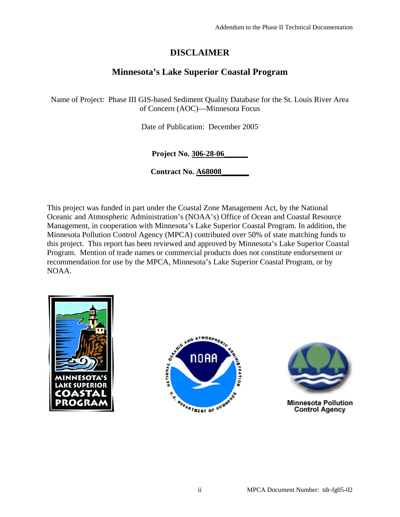# **DISCLAIMER**

# **Minnesota's Lake Superior Coastal Program**

Name of Project: Phase III GIS-based Sediment Quality Database for the St. Louis River Area of Concern (AOC)—Minnesota Focus

Date of Publication: December 2005

**Project No. 306-28-06\_\_\_\_\_\_**

**Contract No. A68008\_\_\_\_\_\_\_**

This project was funded in part under the Coastal Zone Management Act, by the National Oceanic and Atmospheric Administration's (NOAA's) Office of Ocean and Coastal Resource Management, in cooperation with Minnesota's Lake Superior Coastal Program. In addition, the Minnesota Pollution Control Agency (MPCA) contributed over 50% of state matching funds to this project. This report has been reviewed and approved by Minnesota's Lake Superior Coastal Program. Mention of trade names or commercial products does not constitute endorsement or recommendation for use by the MPCA, Minnesota's Lake Superior Coastal Program, or by NOAA.







**Minnesota Pollution Control Agency**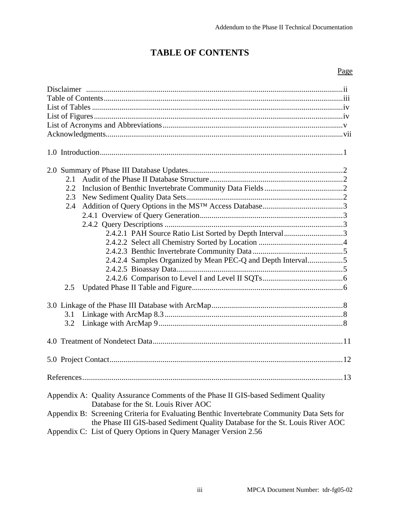# **TABLE OF CONTENTS**

### Page

| 2.1<br>2.2<br>2.3<br>2.4<br>2.4.2.1 PAH Source Ratio List Sorted by Depth Interval3                                                                                                                                                                                                                                                                                         |
|-----------------------------------------------------------------------------------------------------------------------------------------------------------------------------------------------------------------------------------------------------------------------------------------------------------------------------------------------------------------------------|
| 2.4.2.4 Samples Organized by Mean PEC-Q and Depth Interval5<br>2.5                                                                                                                                                                                                                                                                                                          |
| 3.1<br>3.2                                                                                                                                                                                                                                                                                                                                                                  |
|                                                                                                                                                                                                                                                                                                                                                                             |
|                                                                                                                                                                                                                                                                                                                                                                             |
|                                                                                                                                                                                                                                                                                                                                                                             |
| Appendix A: Quality Assurance Comments of the Phase II GIS-based Sediment Quality<br>Database for the St. Louis River AOC<br>Appendix B: Screening Criteria for Evaluating Benthic Invertebrate Community Data Sets for<br>the Phase III GIS-based Sediment Quality Database for the St. Louis River AOC<br>Appendix C: List of Query Options in Query Manager Version 2.56 |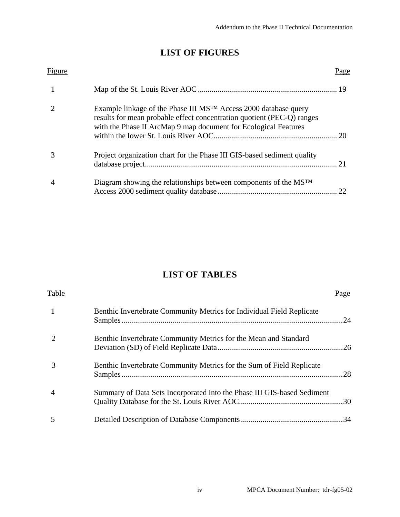# **LIST OF FIGURES**

| Figure |                                                                                                                                                                                                                          | Page |
|--------|--------------------------------------------------------------------------------------------------------------------------------------------------------------------------------------------------------------------------|------|
|        |                                                                                                                                                                                                                          |      |
|        | Example linkage of the Phase III MS <sup>™</sup> Access 2000 database query<br>results for mean probable effect concentration quotient (PEC-Q) ranges<br>with the Phase II ArcMap 9 map document for Ecological Features |      |
|        | Project organization chart for the Phase III GIS-based sediment quality                                                                                                                                                  | 21   |
|        | Diagram showing the relationships between components of the MSTM                                                                                                                                                         |      |

# **LIST OF TABLES**

| Table |                                                                         | Page |
|-------|-------------------------------------------------------------------------|------|
|       | Benthic Invertebrate Community Metrics for Individual Field Replicate   |      |
|       | Benthic Invertebrate Community Metrics for the Mean and Standard        |      |
|       | Benthic Invertebrate Community Metrics for the Sum of Field Replicate   |      |
| 4     | Summary of Data Sets Incorporated into the Phase III GIS-based Sediment |      |
|       |                                                                         |      |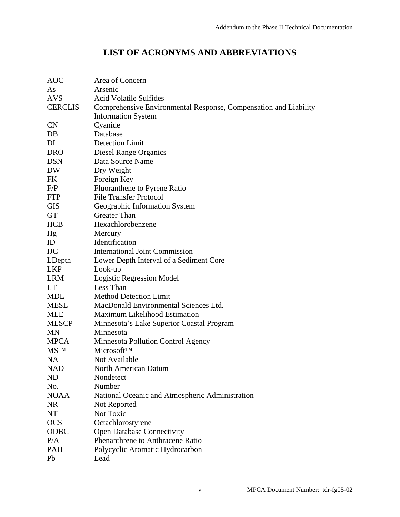# **LIST OF ACRONYMS AND ABBREVIATIONS**

| <b>AOC</b>     | Area of Concern                                                  |
|----------------|------------------------------------------------------------------|
| As             | Arsenic                                                          |
| <b>AVS</b>     | <b>Acid Volatile Sulfides</b>                                    |
| <b>CERCLIS</b> | Comprehensive Environmental Response, Compensation and Liability |
|                | <b>Information System</b>                                        |
| <b>CN</b>      | Cyanide                                                          |
| DB             | Database                                                         |
| DL             | <b>Detection Limit</b>                                           |
| <b>DRO</b>     | Diesel Range Organics                                            |
| <b>DSN</b>     | Data Source Name                                                 |
| DW             | Dry Weight                                                       |
| FK             | Foreign Key                                                      |
| F/P            | <b>Fluoranthene to Pyrene Ratio</b>                              |
| <b>FTP</b>     | <b>File Transfer Protocol</b>                                    |
| <b>GIS</b>     | Geographic Information System                                    |
| <b>GT</b>      | <b>Greater Than</b>                                              |
| <b>HCB</b>     | Hexachlorobenzene                                                |
| Hg             | Mercury                                                          |
| ID             | Identification                                                   |
| <b>IJC</b>     | <b>International Joint Commission</b>                            |
| LDepth         | Lower Depth Interval of a Sediment Core                          |
| <b>LKP</b>     | Look-up                                                          |
| <b>LRM</b>     | Logistic Regression Model                                        |
| LT             | Less Than                                                        |
| MDL            | <b>Method Detection Limit</b>                                    |
| MESL           | MacDonald Environmental Sciences Ltd.                            |
| <b>MLE</b>     | Maximum Likelihood Estimation                                    |
| <b>MLSCP</b>   | Minnesota's Lake Superior Coastal Program                        |
| <b>MN</b>      | Minnesota                                                        |
| <b>MPCA</b>    | Minnesota Pollution Control Agency                               |
| <b>MSTM</b>    | <b>MicrosoftTM</b>                                               |
| <b>NA</b>      | Not Available                                                    |
| NAD            | North American Datum                                             |
| ND             | Nondetect                                                        |
| No.            | Number                                                           |
| <b>NOAA</b>    | National Oceanic and Atmospheric Administration                  |
| <b>NR</b>      | Not Reported                                                     |
| NT             | Not Toxic                                                        |
| <b>OCS</b>     | Octachlorostyrene                                                |
| <b>ODBC</b>    | <b>Open Database Connectivity</b>                                |
| P/A            | Phenanthrene to Anthracene Ratio                                 |
| <b>PAH</b>     | Polycyclic Aromatic Hydrocarbon                                  |
| Pb             | Lead                                                             |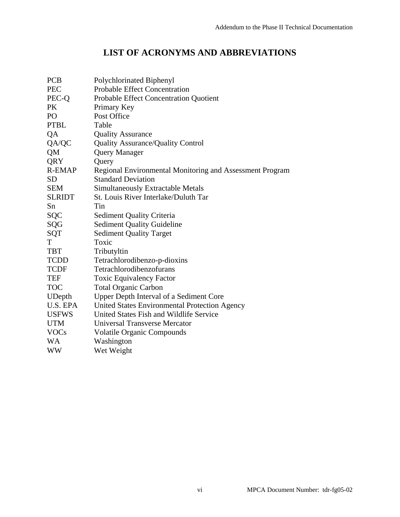# **LIST OF ACRONYMS AND ABBREVIATIONS**

| <b>PCB</b>      | Polychlorinated Biphenyl                                 |
|-----------------|----------------------------------------------------------|
| <b>PEC</b>      | <b>Probable Effect Concentration</b>                     |
| PEC-Q           | Probable Effect Concentration Quotient                   |
| <b>PK</b>       | Primary Key                                              |
| PO <sub>1</sub> | Post Office                                              |
| <b>PTBL</b>     | Table                                                    |
| QA              | <b>Quality Assurance</b>                                 |
| QA/QC           | Quality Assurance/Quality Control                        |
| <b>QM</b>       | <b>Query Manager</b>                                     |
| QRY             | Query                                                    |
| <b>R-EMAP</b>   | Regional Environmental Monitoring and Assessment Program |
| SD              | <b>Standard Deviation</b>                                |
| <b>SEM</b>      | <b>Simultaneously Extractable Metals</b>                 |
| <b>SLRIDT</b>   | St. Louis River Interlake/Duluth Tar                     |
| Sn              | Tin                                                      |
| <b>SQC</b>      | <b>Sediment Quality Criteria</b>                         |
| SQG             | <b>Sediment Quality Guideline</b>                        |
| SQT             | <b>Sediment Quality Target</b>                           |
| T               | Toxic                                                    |
| <b>TBT</b>      | Tributyltin                                              |
| <b>TCDD</b>     | Tetrachlorodibenzo-p-dioxins                             |
| <b>TCDF</b>     | Tetrachlorodibenzofurans                                 |
| <b>TEF</b>      | <b>Toxic Equivalency Factor</b>                          |
| <b>TOC</b>      | <b>Total Organic Carbon</b>                              |
| <b>UDepth</b>   | Upper Depth Interval of a Sediment Core                  |
| U.S. EPA        | United States Environmental Protection Agency            |
| <b>USFWS</b>    | United States Fish and Wildlife Service                  |
| <b>UTM</b>      | <b>Universal Transverse Mercator</b>                     |
| <b>VOCs</b>     | <b>Volatile Organic Compounds</b>                        |
| WA              | Washington                                               |
| WW              | Wet Weight                                               |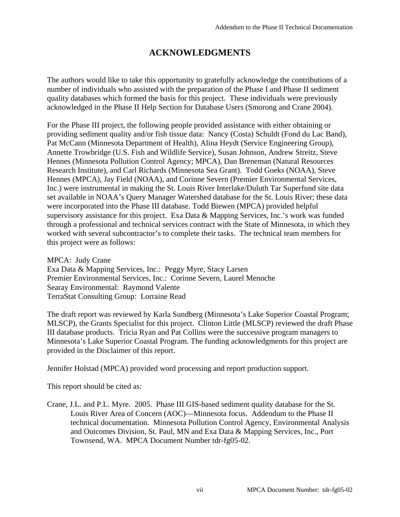# **ACKNOWLEDGMENTS**

The authors would like to take this opportunity to gratefully acknowledge the contributions of a number of individuals who assisted with the preparation of the Phase I and Phase II sediment quality databases which formed the basis for this project. These individuals were previously acknowledged in the Phase II Help Section for Database Users (Smorong and Crane 2004).

For the Phase III project, the following people provided assistance with either obtaining or providing sediment quality and/or fish tissue data: Nancy (Costa) Schuldt (Fond du Lac Band), Pat McCann (Minnesota Department of Health), Alina Heydt (Service Engineering Group), Annette Trowbridge (U.S. Fish and Wildlife Service), Susan Johnson, Andrew Streitz, Steve Hennes (Minnesota Pollution Control Agency; MPCA), Dan Breneman (Natural Resources Research Institute), and Carl Richards (Minnesota Sea Grant). Todd Goeks (NOAA), Steve Hennes (MPCA), Jay Field (NOAA), and Corinne Severn (Premier Environmental Services, Inc.) were instrumental in making the St. Louis River Interlake/Duluth Tar Superfund site data set available in NOAA's Query Manager Watershed database for the St. Louis River; these data were incorporated into the Phase III database. Todd Biewen (MPCA) provided helpful supervisory assistance for this project. Exa Data & Mapping Services, Inc.'s work was funded through a professional and technical services contract with the State of Minnesota, in which they worked with several subcontractor's to complete their tasks. The technical team members for this project were as follows:

MPCA: Judy Crane Exa Data & Mapping Services, Inc.: Peggy Myre, Stacy Larsen Premier Environmental Services, Inc.: Corinne Severn, Laurel Menoche Searay Environmental: Raymond Valente TerraStat Consulting Group: Lorraine Read

The draft report was reviewed by Karla Sundberg (Minnesota's Lake Superior Coastal Program; MLSCP), the Grants Specialist for this project. Clinton Little (MLSCP) reviewed the draft Phase III database products. Tricia Ryan and Pat Collins were the successive program managers to Minnesota's Lake Superior Coastal Program. The funding acknowledgments for this project are provided in the Disclaimer of this report.

Jennifer Holstad (MPCA) provided word processing and report production support.

This report should be cited as:

Crane, J.L. and P.L. Myre. 2005. Phase III GIS-based sediment quality database for the St. Louis River Area of Concern (AOC)—Minnesota focus. Addendum to the Phase II technical documentation. Minnesota Pollution Control Agency, Environmental Analysis and Outcomes Division, St. Paul, MN and Exa Data & Mapping Services, Inc., Port Townsend, WA. MPCA Document Number tdr-fg05-02.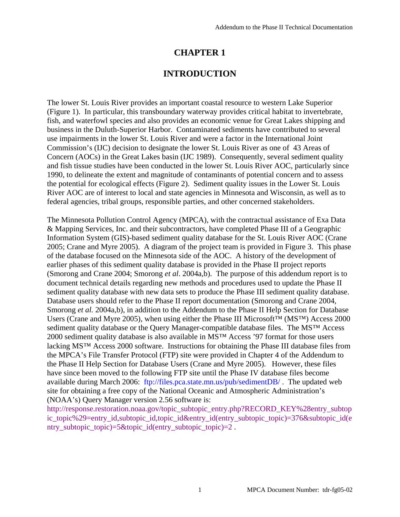# **CHAPTER 1**

# **INTRODUCTION**

The lower St. Louis River provides an important coastal resource to western Lake Superior (Figure 1). In particular, this transboundary waterway provides critical habitat to invertebrate, fish, and waterfowl species and also provides an economic venue for Great Lakes shipping and business in the Duluth-Superior Harbor. Contaminated sediments have contributed to several use impairments in the lower St. Louis River and were a factor in the International Joint Commission's (IJC) decision to designate the lower St. Louis River as one of 43 Areas of Concern (AOCs) in the Great Lakes basin (IJC 1989). Consequently, several sediment quality and fish tissue studies have been conducted in the lower St. Louis River AOC, particularly since 1990, to delineate the extent and magnitude of contaminants of potential concern and to assess the potential for ecological effects (Figure 2). Sediment quality issues in the Lower St. Louis River AOC are of interest to local and state agencies in Minnesota and Wisconsin, as well as to federal agencies, tribal groups, responsible parties, and other concerned stakeholders.

The Minnesota Pollution Control Agency (MPCA), with the contractual assistance of Exa Data & Mapping Services, Inc. and their subcontractors, have completed Phase III of a Geographic Information System (GIS)-based sediment quality database for the St. Louis River AOC (Crane 2005; Crane and Myre 2005). A diagram of the project team is provided in Figure 3. This phase of the database focused on the Minnesota side of the AOC. A history of the development of earlier phases of this sediment quality database is provided in the Phase II project reports (Smorong and Crane 2004; Smorong *et al*. 2004a,b). The purpose of this addendum report is to document technical details regarding new methods and procedures used to update the Phase II sediment quality database with new data sets to produce the Phase III sediment quality database. Database users should refer to the Phase II report documentation (Smorong and Crane 2004, Smorong *et al.* 2004a,b), in addition to the Addendum to the Phase II Help Section for Database Users (Crane and Myre 2005), when using either the Phase III Microsoft™ (MS™) Access 2000 sediment quality database or the Query Manager-compatible database files. The MS™ Access 2000 sediment quality database is also available in MS™ Access '97 format for those users lacking MS™ Access 2000 software. Instructions for obtaining the Phase III database files from the MPCA's File Transfer Protocol (FTP) site were provided in Chapter 4 of the Addendum to the Phase II Help Section for Database Users (Crane and Myre 2005). However, these files have since been moved to the following FTP site until the Phase IV database files become available during March 2006: [ftp://files.pca.state.mn.us/pub/sedimentDB/](ftp://files.pca.state.mn.us/pub/sedimentDB) . The updated web site for obtaining a free copy of the National Oceanic and Atmospheric Administration's (NOAA's) Query Manager version 2.56 software is:

http://response.restoration.noaa.gov/topic\_subtopic\_entry.php?RECORD\_KEY%28entry\_subtop ic topic%29=entry id,subtopic id,topic id&entry id(entry subtopic topic)=376&subtopic id(e ntry\_subtopic\_topic)=5&topic\_id(entry\_subtopic\_topic)=2.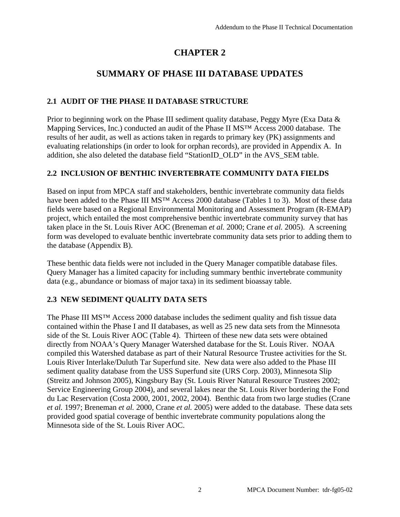# **CHAPTER 2**

# **SUMMARY OF PHASE III DATABASE UPDATES**

# **2.1 AUDIT OF THE PHASE II DATABASE STRUCTURE**

Prior to beginning work on the Phase III sediment quality database, Peggy Myre (Exa Data & Mapping Services, Inc.) conducted an audit of the Phase II MS™ Access 2000 database. The results of her audit, as well as actions taken in regards to primary key (PK) assignments and evaluating relationships (in order to look for orphan records), are provided in Appendix A. In addition, she also deleted the database field "StationID\_OLD" in the AVS\_SEM table.

### **2.2 INCLUSION OF BENTHIC INVERTEBRATE COMMUNITY DATA FIELDS**

Based on input from MPCA staff and stakeholders, benthic invertebrate community data fields have been added to the Phase III MS<sup>™</sup> Access 2000 database (Tables 1 to 3). Most of these data fields were based on a Regional Environmental Monitoring and Assessment Program (R-EMAP) project, which entailed the most comprehensive benthic invertebrate community survey that has taken place in the St. Louis River AOC (Breneman *et al.* 2000; Crane *et al.* 2005). A screening form was developed to evaluate benthic invertebrate community data sets prior to adding them to the database (Appendix B).

These benthic data fields were not included in the Query Manager compatible database files. Query Manager has a limited capacity for including summary benthic invertebrate community data (e.g., abundance or biomass of major taxa) in its sediment bioassay table.

# **2.3 NEW SEDIMENT QUALITY DATA SETS**

The Phase III MS™ Access 2000 database includes the sediment quality and fish tissue data contained within the Phase I and II databases, as well as 25 new data sets from the Minnesota side of the St. Louis River AOC (Table 4). Thirteen of these new data sets were obtained directly from NOAA's Query Manager Watershed database for the St. Louis River. NOAA compiled this Watershed database as part of their Natural Resource Trustee activities for the St. Louis River Interlake/Duluth Tar Superfund site. New data were also added to the Phase III sediment quality database from the USS Superfund site (URS Corp. 2003), Minnesota Slip (Streitz and Johnson 2005), Kingsbury Bay (St. Louis River Natural Resource Trustees 2002; Service Engineering Group 2004), and several lakes near the St. Louis River bordering the Fond du Lac Reservation (Costa 2000, 2001, 2002, 2004). Benthic data from two large studies (Crane *et al.* 1997; Breneman *et al.* 2000, Crane *et al.* 2005) were added to the database. These data sets provided good spatial coverage of benthic invertebrate community populations along the Minnesota side of the St. Louis River AOC.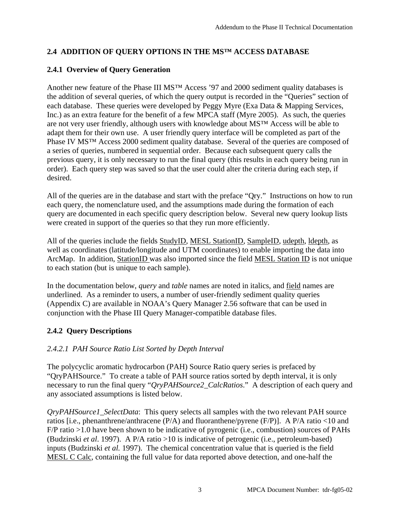# **2.4 ADDITION OF QUERY OPTIONS IN THE MS™ ACCESS DATABASE**

# **2.4.1 Overview of Query Generation**

Another new feature of the Phase III MS™ Access '97 and 2000 sediment quality databases is the addition of several queries, of which the query output is recorded in the "Queries" section of each database. These queries were developed by Peggy Myre (Exa Data & Mapping Services, Inc.) as an extra feature for the benefit of a few MPCA staff (Myre 2005). As such, the queries are not very user friendly, although users with knowledge about MS™ Access will be able to adapt them for their own use. A user friendly query interface will be completed as part of the Phase IV MS<sup>TM</sup> Access 2000 sediment quality database. Several of the queries are composed of a series of queries, numbered in sequential order. Because each subsequent query calls the previous query, it is only necessary to run the final query (this results in each query being run in order). Each query step was saved so that the user could alter the criteria during each step, if desired.

All of the queries are in the database and start with the preface "Qry." Instructions on how to run each query, the nomenclature used, and the assumptions made during the formation of each query are documented in each specific query description below. Several new query lookup lists were created in support of the queries so that they run more efficiently.

All of the queries include the fields StudyID, MESL StationID, SampleID, udepth, ldepth, as well as coordinates (latitude/longitude and UTM coordinates) to enable importing the data into ArcMap. In addition, StationID was also imported since the field MESL Station ID is not unique to each station (but is unique to each sample).

In the documentation below, *query* and *table* names are noted in italics, and field names are underlined. As a reminder to users, a number of user-friendly sediment quality queries (Appendix C) are available in NOAA's Query Manager 2.56 software that can be used in conjunction with the Phase III Query Manager-compatible database files.

# **2.4.2 Query Descriptions**

### *2.4.2.1 PAH Source Ratio List Sorted by Depth Interval*

The polycyclic aromatic hydrocarbon (PAH) Source Ratio query series is prefaced by "QryPAHSource." To create a table of PAH source ratios sorted by depth interval, it is only necessary to run the final query "*QryPAHSource2\_CalcRatios*." A description of each query and any associated assumptions is listed below.

*QryPAHSource1\_SelectData*: This query selects all samples with the two relevant PAH source ratios [i.e., phenanthrene/anthracene (P/A) and fluoranthene/pyrene (F/P)]. A P/A ratio <10 and F/P ratio >1.0 have been shown to be indicative of pyrogenic (i.e., combustion) sources of PAHs (Budzinski *et al*. 1997). A P/A ratio >10 is indicative of petrogenic (i.e., petroleum-based) inputs (Budzinski *et al.* 1997). The chemical concentration value that is queried is the field MESL C Calc, containing the full value for data reported above detection, and one-half the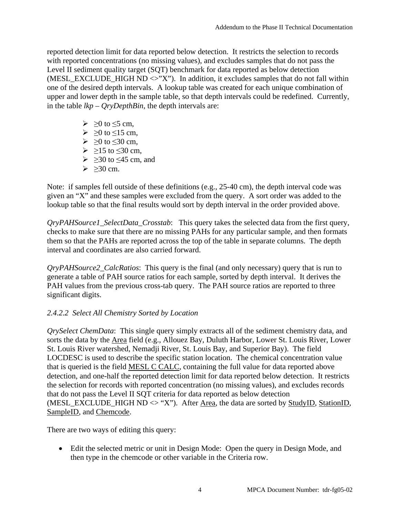reported detection limit for data reported below detection. It restricts the selection to records with reported concentrations (no missing values), and excludes samples that do not pass the Level II sediment quality target (SQT) benchmark for data reported as below detection (MESL\_EXCLUDE\_HIGH ND  $\ll$ "X"). In addition, it excludes samples that do not fall within one of the desired depth intervals. A lookup table was created for each unique combination of upper and lower depth in the sample table, so that depth intervals could be redefined. Currently, in the table *lkp – QryDepthBin*, the depth intervals are:

- $\triangleright$   $>0$  to  $\leq$ 5 cm,
- $> 0$  to  $\le 15$  cm,
- $\geq 0$  to  $\leq 30$  cm,
- $\geq 215$  to  $\leq 30$  cm,
- $\geq$   $\geq$ 30 to  $\leq$ 45 cm, and
- $>$  >30 cm.

Note: if samples fell outside of these definitions (e.g., 25-40 cm), the depth interval code was given an "X" and these samples were excluded from the query. A sort order was added to the lookup table so that the final results would sort by depth interval in the order provided above.

*QryPAHSource1\_SelectData\_Crosstab*: This query takes the selected data from the first query, checks to make sure that there are no missing PAHs for any particular sample, and then formats them so that the PAHs are reported across the top of the table in separate columns. The depth interval and coordinates are also carried forward.

*QryPAHSource2\_CalcRatios*: This query is the final (and only necessary) query that is run to generate a table of PAH source ratios for each sample, sorted by depth interval. It derives the PAH values from the previous cross-tab query. The PAH source ratios are reported to three significant digits.

### *2.4.2.2 Select All Chemistry Sorted by Location*

*QrySelect ChemData*: This single query simply extracts all of the sediment chemistry data, and sorts the data by the Area field (e.g., Allouez Bay, Duluth Harbor, Lower St. Louis River, Lower St. Louis River watershed, Nemadji River, St. Louis Bay, and Superior Bay). The field LOCDESC is used to describe the specific station location. The chemical concentration value that is queried is the field MESL C CALC, containing the full value for data reported above detection, and one-half the reported detection limit for data reported below detection. It restricts the selection for records with reported concentration (no missing values), and excludes records that do not pass the Level II SQT criteria for data reported as below detection (MESL\_EXCLUDE\_HIGH  $ND \leq "X"$ ). After Area, the data are sorted by StudyID, StationID, SampleID, and Chemcode.

There are two ways of editing this query:

• Edit the selected metric or unit in Design Mode: Open the query in Design Mode, and then type in the chemcode or other variable in the Criteria row.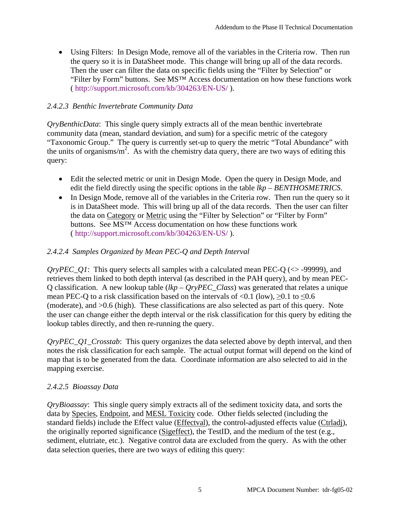• Using Filters: In Design Mode, remove all of the variables in the Criteria row. Then run the query so it is in DataSheet mode. This change will bring up all of the data records. Then the user can filter the data on specific fields using the "Filter by Selection" or "Filter by Form" buttons. See MS™ Access documentation on how these functions work ( [http://support.microsoft.com/kb/304263/EN-US/ \).](http://support.microsoft.com/kb/304263/EN-US/) 

# *2.4.2.3 Benthic Invertebrate Community Data*

*QryBenthicData*: This single query simply extracts all of the mean benthic invertebrate community data (mean, standard deviation, and sum) for a specific metric of the category "Taxonomic Group." The query is currently set-up to query the metric "Total Abundance" with the units of organisms/ $m^2$ . As with the chemistry data query, there are two ways of editing this query:

- Edit the selected metric or unit in Design Mode. Open the query in Design Mode, and edit the field directly using the specific options in the table *lkp – BENTHOSMETRICS*.
- In Design Mode, remove all of the variables in the Criteria row. Then run the query so it is in DataSheet mode. This will bring up all of the data records. Then the user can filter the data on Category or Metric using the "Filter by Selection" or "Filter by Form" buttons. See MS™ Access documentation on how these functions work ( [http://support.microsoft.com/kb/304263/EN-US/ \).](http://support.microsoft.com/kb/304263/EN-US/)

# *2.4.2.4 Samples Organized by Mean PEC-Q and Depth Interval*

*QryPEC\_Q1*: This query selects all samples with a calculated mean PEC-Q ( $\lt$ >-99999), and retrieves them linked to both depth interval (as described in the PAH query), and by mean PEC-Q classification. A new lookup table (*lkp – QryPEC\_Class*) was generated that relates a unique mean PEC-Q to a risk classification based on the intervals of <0.1 (low),  $\geq 0.1$  to  $\leq 0.6$ (moderate), and >0.6 (high). These classifications are also selected as part of this query. Note the user can change either the depth interval or the risk classification for this query by editing the lookup tables directly, and then re-running the query.

*QryPEC\_Q1\_Crosstab*: This query organizes the data selected above by depth interval, and then notes the risk classification for each sample. The actual output format will depend on the kind of map that is to be generated from the data. Coordinate information are also selected to aid in the mapping exercise.

### *2.4.2.5 Bioassay Data*

*QryBioassay*: This single query simply extracts all of the sediment toxicity data, and sorts the data by Species, Endpoint, and MESL Toxicity code. Other fields selected (including the standard fields) include the Effect value (Effectval), the control-adjusted effects value (Ctrladj), the originally reported significance (Sigeffect), the TestID, and the medium of the test (e.g., sediment, elutriate, etc.). Negative control data are excluded from the query. As with the other data selection queries, there are two ways of editing this query: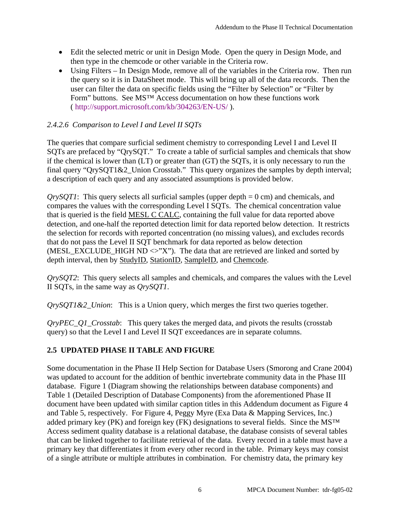- Edit the selected metric or unit in Design Mode. Open the query in Design Mode, and then type in the chemcode or other variable in the Criteria row.
- Using Filters In Design Mode, remove all of the variables in the Criteria row. Then run the query so it is in DataSheet mode. This will bring up all of the data records. Then the user can filter the data on specific fields using the "Filter by Selection" or "Filter by Form" buttons. See MS™ Access documentation on how these functions work ( [http://support.microsoft.com/kb/304263/EN-US/ \).](http://support.microsoft.com/kb/304263/EN-US/)

# *2.4.2.6 Comparison to Level I and Level II SQTs*

The queries that compare surficial sediment chemistry to corresponding Level I and Level II SQTs are prefaced by "QrySQT." To create a table of surficial samples and chemicals that show if the chemical is lower than (LT) or greater than (GT) the SQTs, it is only necessary to run the final query "QrySQT1&2\_Union Crosstab." This query organizes the samples by depth interval; a description of each query and any associated assumptions is provided below.

*QrySQT1*: This query selects all surficial samples (upper depth = 0 cm) and chemicals, and compares the values with the corresponding Level I SQTs. The chemical concentration value that is queried is the field MESL C CALC, containing the full value for data reported above detection, and one-half the reported detection limit for data reported below detection. It restricts the selection for records with reported concentration (no missing values), and excludes records that do not pass the Level II SQT benchmark for data reported as below detection (MESL\_EXCLUDE\_HIGH ND  $\ll$ "X"). The data that are retrieved are linked and sorted by depth interval, then by StudyID, StationID, SampleID, and Chemcode.

*QrySQT2*: This query selects all samples and chemicals, and compares the values with the Level II SQTs, in the same way as *QrySQT1*.

*QrySQT1&2\_Union*: This is a Union query, which merges the first two queries together.

*QryPEC\_Q1\_Crosstab*: This query takes the merged data, and pivots the results (crosstab query) so that the Level I and Level II SQT exceedances are in separate columns.

# **2.5 UPDATED PHASE II TABLE AND FIGURE**

Some documentation in the Phase II Help Section for Database Users (Smorong and Crane 2004) was updated to account for the addition of benthic invertebrate community data in the Phase III database. Figure 1 (Diagram showing the relationships between database components) and Table 1 (Detailed Description of Database Components) from the aforementioned Phase II document have been updated with similar caption titles in this Addendum document as Figure 4 and Table 5, respectively. For Figure 4, Peggy Myre (Exa Data & Mapping Services, Inc.) added primary key (PK) and foreign key (FK) designations to several fields. Since the MS<sup>™</sup> Access sediment quality database is a relational database, the database consists of several tables that can be linked together to facilitate retrieval of the data. Every record in a table must have a primary key that differentiates it from every other record in the table. Primary keys may consist of a single attribute or multiple attributes in combination. For chemistry data, the primary key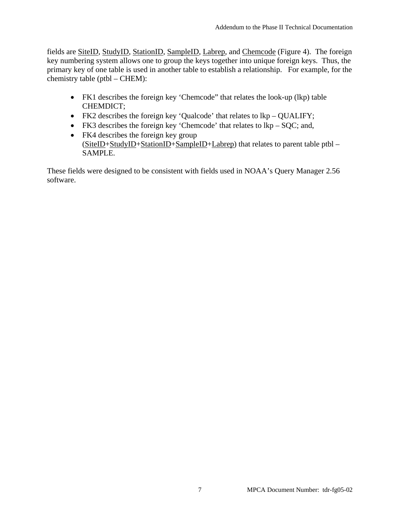fields are SiteID, StudyID, StationID, SampleID, Labrep, and Chemcode (Figure 4). The foreign key numbering system allows one to group the keys together into unique foreign keys. Thus, the primary key of one table is used in another table to establish a relationship. For example, for the chemistry table (ptbl – CHEM):

- FK1 describes the foreign key 'Chemcode'' that relates the look-up (lkp) table CHEMDICT;
- FK2 describes the foreign key 'Qualcode' that relates to  $lkp QUALIFY$ ;
- FK3 describes the foreign key 'Chemcode' that relates to  $lkp SOC$ ; and,
- FK4 describes the foreign key group (SiteID+StudyID+StationID+SampleID+Labrep) that relates to parent table ptbl – SAMPLE.

These fields were designed to be consistent with fields used in NOAA's Query Manager 2.56 software.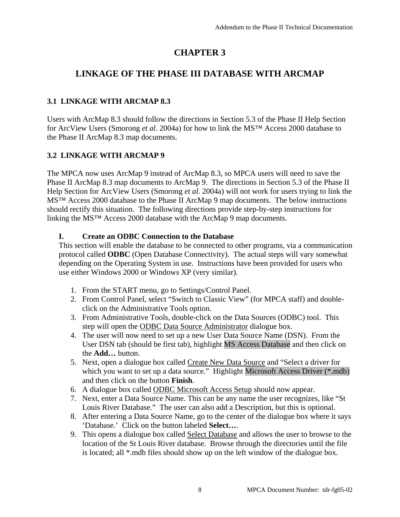# **CHAPTER 3**

# **LINKAGE OF THE PHASE III DATABASE WITH ARCMAP**

# **3.1 LINKAGE WITH ARCMAP 8.3**

Users with ArcMap 8.3 should follow the directions in Section 5.3 of the Phase II Help Section for ArcView Users (Smorong *et al*. 2004a) for how to link the MS™ Access 2000 database to the Phase II ArcMap 8.3 map documents.

# **3.2 LINKAGE WITH ARCMAP 9**

The MPCA now uses ArcMap 9 instead of ArcMap 8.3, so MPCA users will need to save the Phase II ArcMap 8.3 map documents to ArcMap 9. The directions in Section 5.3 of the Phase II Help Section for ArcView Users (Smorong *et al*. 2004a) will not work for users trying to link the MS<sup>TM</sup> Access 2000 database to the Phase II ArcMap 9 map documents. The below instructions should rectify this situation. The following directions provide step-by-step instructions for linking the MS™ Access 2000 database with the ArcMap 9 map documents.

### **I. Create an ODBC Connection to the Database**

This section will enable the database to be connected to other programs, via a communication protocol called **ODBC** (Open Database Connectivity). The actual steps will vary somewhat depending on the Operating System in use. Instructions have been provided for users who use either Windows 2000 or Windows XP (very similar).

- 1. From the START menu, go to Settings/Control Panel.
- 2. From Control Panel, select "Switch to Classic View" (for MPCA staff) and doubleclick on the Administrative Tools option.
- 3. From Administrative Tools, double-click on the Data Sources (ODBC) tool. This step will open the ODBC Data Source Administrator dialogue box.
- 4. The user will now need to set up a new User Data Source Name (DSN). From the User DSN tab (should be first tab), highlight MS Access Database and then click on the **Add…** button.
- 5. Next, open a dialogue box called Create New Data Source and "Select a driver for which you want to set up a data source." Highlight Microsoft Access Driver (\*.mdb) and then click on the button **Finish**.
- 6. A dialogue box called ODBC Microsoft Access Setup should now appear.
- 7. Next, enter a Data Source Name. This can be any name the user recognizes, like "St Louis River Database." The user can also add a Description, but this is optional.
- 8. After entering a Data Source Name, go to the center of the dialogue box where it says 'Database.' Click on the button labeled **Select…**.
- 9. This opens a dialogue box called Select Database and allows the user to browse to the location of the St Louis River database. Browse through the directories until the file is located; all \*.mdb files should show up on the left window of the dialogue box.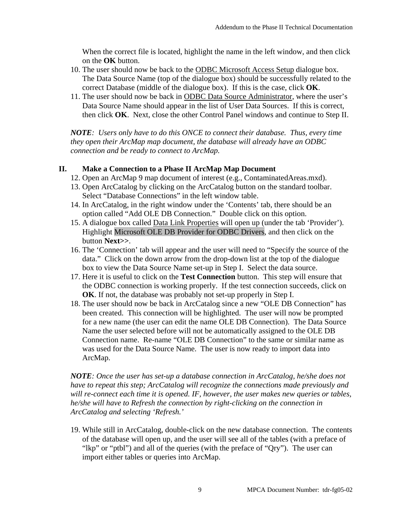When the correct file is located, highlight the name in the left window, and then click on the **OK** button.

- 10. The user should now be back to the ODBC Microsoft Access Setup dialogue box. The Data Source Name (top of the dialogue box) should be successfully related to the correct Database (middle of the dialogue box). If this is the case, click **OK**.
- 11. The user should now be back in ODBC Data Source Administrator, where the user's Data Source Name should appear in the list of User Data Sources. If this is correct, then click **OK**. Next, close the other Control Panel windows and continue to Step II.

*NOTE: Users only have to do this ONCE to connect their database. Thus, every time they open their ArcMap map document, the database will already have an ODBC connection and be ready to connect to ArcMap.* 

### **II. Make a Connection to a Phase II ArcMap Map Document**

- 12. Open an ArcMap 9 map document of interest (e.g., ContaminatedAreas.mxd).
- 13. Open ArcCatalog by clicking on the ArcCatalog button on the standard toolbar. Select "Database Connections" in the left window table.
- 14. In ArcCatalog, in the right window under the 'Contents' tab, there should be an option called "Add OLE DB Connection." Double click on this option.
- 15. A dialogue box called Data Link Properties will open up (under the tab 'Provider'). Highlight Microsoft OLE DB Provider for ODBC Drivers, and then click on the button **Next>>**.
- 16. The 'Connection' tab will appear and the user will need to "Specify the source of the data." Click on the down arrow from the drop-down list at the top of the dialogue box to view the Data Source Name set-up in Step I. Select the data source.
- 17. Here it is useful to click on the **Test Connection** button. This step will ensure that the ODBC connection is working properly. If the test connection succeeds, click on **OK**. If not, the database was probably not set-up properly in Step I.
- 18. The user should now be back in ArcCatalog since a new "OLE DB Connection" has been created. This connection will be highlighted. The user will now be prompted for a new name (the user can edit the name OLE DB Connection). The Data Source Name the user selected before will not be automatically assigned to the OLE DB Connection name. Re-name "OLE DB Connection" to the same or similar name as was used for the Data Source Name. The user is now ready to import data into ArcMap.

*NOTE: Once the user has set-up a database connection in ArcCatalog, he/she does not have to repeat this step; ArcCatalog will recognize the connections made previously and will re-connect each time it is opened. IF, however, the user makes new queries or tables, he/she will have to Refresh the connection by right-clicking on the connection in ArcCatalog and selecting 'Refresh.'* 

19. While still in ArcCatalog, double-click on the new database connection. The contents of the database will open up, and the user will see all of the tables (with a preface of "lkp" or "ptbl") and all of the queries (with the preface of "Qry"). The user can import either tables or queries into ArcMap.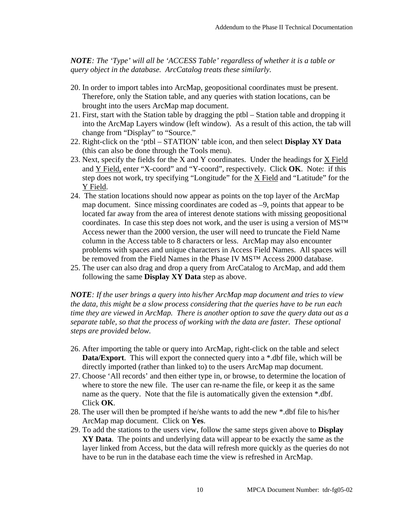*NOTE: The 'Type' will all be 'ACCESS Table' regardless of whether it is a table or query object in the database. ArcCatalog treats these similarly.* 

- 20. In order to import tables into ArcMap, geopositional coordinates must be present. Therefore, only the Station table, and any queries with station locations, can be brought into the users ArcMap map document.
- 21. First, start with the Station table by dragging the ptbl Station table and dropping it into the ArcMap Layers window (left window). As a result of this action, the tab will change from "Display" to "Source."
- 22. Right-click on the 'ptbl STATION' table icon, and then select **Display XY Data** (this can also be done through the Tools menu).
- 23. Next, specify the fields for the X and Y coordinates. Under the headings for X Field and Y Field, enter "X-coord" and "Y-coord", respectively. Click **OK**. Note: if this step does not work, try specifying "Longitude" for the X Field and "Latitude" for the Y Field.
- 24. The station locations should now appear as points on the top layer of the ArcMap map document. Since missing coordinates are coded as –9, points that appear to be located far away from the area of interest denote stations with missing geopositional coordinates. In case this step does not work, and the user is using a version of MS™ Access newer than the 2000 version, the user will need to truncate the Field Name column in the Access table to 8 characters or less. ArcMap may also encounter problems with spaces and unique characters in Access Field Names. All spaces will be removed from the Field Names in the Phase IV MS<sup>™</sup> Access 2000 database.
- 25. The user can also drag and drop a query from ArcCatalog to ArcMap, and add them following the same **Display XY Data** step as above.

*NOTE: If the user brings a query into his/her ArcMap map document and tries to view the data, this might be a slow process considering that the queries have to be run each time they are viewed in ArcMap. There is another option to save the query data out as a separate table, so that the process of working with the data are faster. These optional steps are provided below.* 

- 26. After importing the table or query into ArcMap, right-click on the table and select **Data/Export**. This will export the connected query into a \*.dbf file, which will be directly imported (rather than linked to) to the users ArcMap map document.
- 27. Choose 'All records' and then either type in, or browse, to determine the location of where to store the new file. The user can re-name the file, or keep it as the same name as the query. Note that the file is automatically given the extension \*.dbf. Click **OK**.
- 28. The user will then be prompted if he/she wants to add the new \*.dbf file to his/her ArcMap map document. Click on **Yes**.
- 29. To add the stations to the users view, follow the same steps given above to **Display XY Data**. The points and underlying data will appear to be exactly the same as the layer linked from Access, but the data will refresh more quickly as the queries do not have to be run in the database each time the view is refreshed in ArcMap.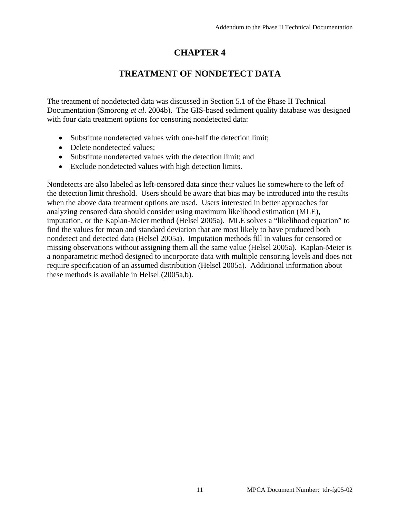# **CHAPTER 4**

# **TREATMENT OF NONDETECT DATA**

The treatment of nondetected data was discussed in Section 5.1 of the Phase II Technical Documentation (Smorong *et al*. 2004b). The GIS-based sediment quality database was designed with four data treatment options for censoring nondetected data:

- Substitute nondetected values with one-half the detection limit;
- Delete nondetected values:
- Substitute nondetected values with the detection limit; and
- Exclude nondetected values with high detection limits.

Nondetects are also labeled as left-censored data since their values lie somewhere to the left of the detection limit threshold. Users should be aware that bias may be introduced into the results when the above data treatment options are used. Users interested in better approaches for analyzing censored data should consider using maximum likelihood estimation (MLE), imputation, or the Kaplan-Meier method (Helsel 2005a). MLE solves a "likelihood equation" to find the values for mean and standard deviation that are most likely to have produced both nondetect and detected data (Helsel 2005a). Imputation methods fill in values for censored or missing observations without assigning them all the same value (Helsel 2005a). Kaplan-Meier is a nonparametric method designed to incorporate data with multiple censoring levels and does not require specification of an assumed distribution (Helsel 2005a). Additional information about these methods is available in Helsel (2005a,b).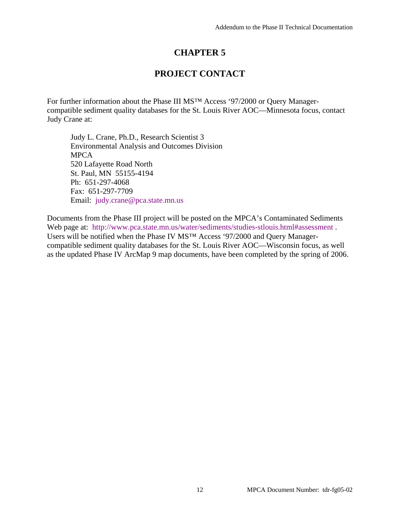# **CHAPTER 5**

# **PROJECT CONTACT**

For further information about the Phase III MS™ Access '97/2000 or Query Managercompatible sediment quality databases for the St. Louis River AOC—Minnesota focus, contact Judy Crane at:

Judy L. Crane, Ph.D., Research Scientist 3 Environmental Analysis and Outcomes Division MPCA 520 Lafayette Road North St. Paul, MN 55155-4194 Ph: 651-297-4068 Fax: 651-297-7709 Email: [judy.crane@pca.state.mn.us](mailto:judy.crane@pca.state.mn.us)

Documents from the Phase III project will be posted on the MPCA's Contaminated Sediments Web page at: [http://www.pca.state.mn.us/water/sediments/studies-stlouis.html#assessment .](http://www.pca.state.mn.us/water/sediments/studies-stlouis.html#assessment)  Users will be notified when the Phase IV MS™ Access '97/2000 and Query Managercompatible sediment quality databases for the St. Louis River AOC—Wisconsin focus, as well as the updated Phase IV ArcMap 9 map documents, have been completed by the spring of 2006.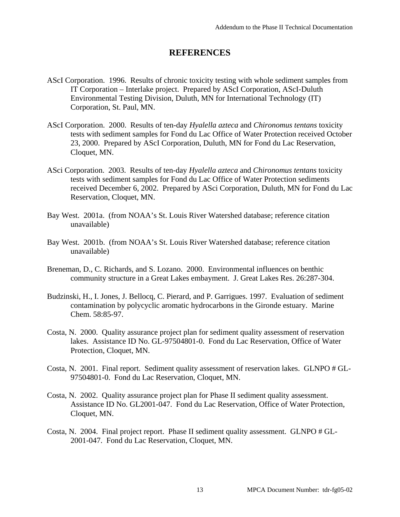# **REFERENCES**

- AScI Corporation. 1996. Results of chronic toxicity testing with whole sediment samples from IT Corporation – Interlake project. Prepared by AScI Corporation, AScI-Duluth Environmental Testing Division, Duluth, MN for International Technology (IT) Corporation, St. Paul, MN.
- AScI Corporation. 2000. Results of ten-day *Hyalella azteca* and *Chironomus tentans* toxicity tests with sediment samples for Fond du Lac Office of Water Protection received October 23, 2000. Prepared by AScI Corporation, Duluth, MN for Fond du Lac Reservation, Cloquet, MN.
- ASci Corporation. 2003. Results of ten-day *Hyalella azteca* and *Chironomus tentans* toxicity tests with sediment samples for Fond du Lac Office of Water Protection sediments received December 6, 2002. Prepared by ASci Corporation, Duluth, MN for Fond du Lac Reservation, Cloquet, MN.
- Bay West. 2001a. (from NOAA's St. Louis River Watershed database; reference citation unavailable)
- Bay West. 2001b. (from NOAA's St. Louis River Watershed database; reference citation unavailable)
- Breneman, D., C. Richards, and S. Lozano. 2000. Environmental influences on benthic community structure in a Great Lakes embayment. J. Great Lakes Res. 26:287-304.
- Budzinski, H., I. Jones, J. Bellocq, C. Pierard, and P. Garrigues. 1997. Evaluation of sediment contamination by polycyclic aromatic hydrocarbons in the Gironde estuary. Marine Chem. 58:85-97.
- Costa, N. 2000. Quality assurance project plan for sediment quality assessment of reservation lakes. Assistance ID No. GL-97504801-0. Fond du Lac Reservation, Office of Water Protection, Cloquet, MN.
- Costa, N. 2001. Final report. Sediment quality assessment of reservation lakes. GLNPO # GL-97504801-0. Fond du Lac Reservation, Cloquet, MN.
- Costa, N. 2002. Quality assurance project plan for Phase II sediment quality assessment. Assistance ID No. GL2001-047. Fond du Lac Reservation, Office of Water Protection, Cloquet, MN.
- Costa, N. 2004. Final project report. Phase II sediment quality assessment. GLNPO # GL-2001-047. Fond du Lac Reservation, Cloquet, MN.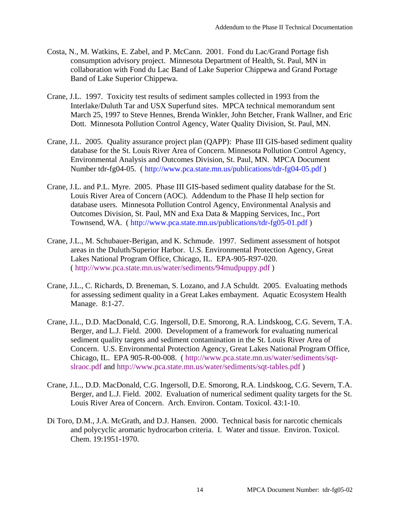- Costa, N., M. Watkins, E. Zabel, and P. McCann. 2001. Fond du Lac/Grand Portage fish consumption advisory project. Minnesota Department of Health, St. Paul, MN in collaboration with Fond du Lac Band of Lake Superior Chippewa and Grand Portage Band of Lake Superior Chippewa.
- Crane, J.L. 1997. Toxicity test results of sediment samples collected in 1993 from the Interlake/Duluth Tar and USX Superfund sites. MPCA technical memorandum sent March 25, 1997 to Steve Hennes, Brenda Winkler, John Betcher, Frank Wallner, and Eric Dott. Minnesota Pollution Control Agency, Water Quality Division, St. Paul, MN.
- Crane, J.L. 2005. Quality assurance project plan (QAPP): Phase III GIS-based sediment quality database for the St. Louis River Area of Concern. Minnesota Pollution Control Agency, Environmental Analysis and Outcomes Division, St. Paul, MN. MPCA Document Number tdr-fg04-05. ( [http://www.pca.state.mn.us/publications/tdr-fg04-05.pdf \)](http://www.pca.state.mn.us/publications/tdr-fg04-05.pdf)
- Crane, J.L. and P.L. Myre. 2005. Phase III GIS-based sediment quality database for the St. Louis River Area of Concern (AOC). Addendum to the Phase II help section for database users. Minnesota Pollution Control Agency, Environmental Analysis and Outcomes Division, St. Paul, MN and Exa Data & Mapping Services, Inc., Port Townsend, WA. ( [http://www.pca.state.mn.us/publications/tdr-fg05-01.pdf \)](http://www.pca.state.mn.us/publications/tdr-fg05-01.pdf)
- Crane, J.L., M. Schubauer-Berigan, and K. Schmude. 1997. Sediment assessment of hotspot areas in the Duluth/Superior Harbor. U.S. Environmental Protection Agency, Great Lakes National Program Office, Chicago, IL. EPA-905-R97-020. ( [http://www.pca.state.mn.us/water/sediments/94mudpuppy.pdf \)](http://www.pca.state.mn.us/water/sediments/94mudpuppy.pdf)
- Crane, J.L., C. Richards, D. Breneman, S. Lozano, and J.A Schuldt. 2005. Evaluating methods for assessing sediment quality in a Great Lakes embayment. Aquatic Ecosystem Health Manage. 8:1-27.
- Crane, J.L., D.D. MacDonald, C.G. Ingersoll, D.E. Smorong, R.A. Lindskoog, C.G. Severn, T.A. Berger, and L.J. Field. 2000. Development of a framework for evaluating numerical sediment quality targets and sediment contamination in the St. Louis River Area of Concern. U.S. Environmental Protection Agency, Great Lakes National Program Office, [Chicago, IL. EPA 905-R-00-008. \( h](http://www.pca.state.mn.us/water/sediments/sqt-slraoc.pdf)[ttp://www.pca.state.mn.us/water/sediments/](http://www.pca.state.mn.us/water/sediments/94mudpuppy.pdf)[sqt](http://www.pca.state.mn.us/water/sediments/sqt-slraoc.pdf)slraoc.pdf and [http://](http://www.pca.state.mn.us/water/sediments/94mudpuppy.pdf)[www.pca.state.mn.us/water/sediments/sqt-tables.pdf \)](http://www.pca.state.mn.us/water/sediments/sqt-tables.pdf)
- Crane, J.L., D.D. MacDonald, C.G. Ingersoll, D.E. Smorong, R.A. Lindskoog, C.G. Severn, T.A. Berger, and L.J. Field. 2002. Evaluation of numerical sediment quality targets for the St. Louis River Area of Concern. Arch. Environ. Contam. Toxicol. 43:1-10.
- Di Toro, D.M., J.A. McGrath, and D.J. Hansen. 2000. Technical basis for narcotic chemicals and polycyclic aromatic hydrocarbon criteria. I. Water and tissue. Environ. Toxicol. Chem. 19:1951-1970.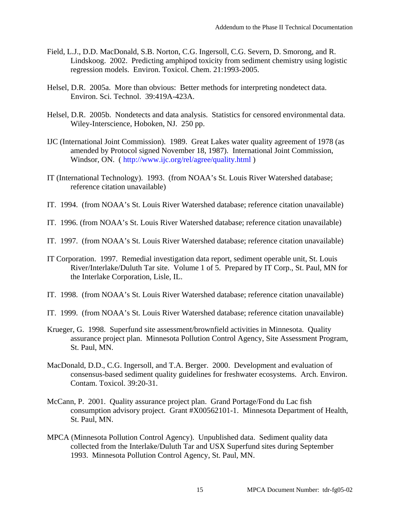- Field, L.J., D.D. MacDonald, S.B. Norton, C.G. Ingersoll, C.G. Severn, D. Smorong, and R. Lindskoog. 2002. Predicting amphipod toxicity from sediment chemistry using logistic regression models. Environ. Toxicol. Chem. 21:1993-2005.
- Helsel, D.R. 2005a. More than obvious: Better methods for interpreting nondetect data. Environ. Sci. Technol. 39:419A-423A.
- Helsel, D.R. 2005b. Nondetects and data analysis. Statistics for censored environmental data. Wiley-Interscience, Hoboken, NJ. 250 pp.
- IJC (International Joint Commission). 1989. Great Lakes water quality agreement of 1978 (as amended by Protocol signed November 18, 1987). International Joint Commission, Windsor, ON. ( [http://www.ijc.org/rel/agree/quality.html \)](http://www.ijc.org/rel/agree/quality.html)
- IT (International Technology). 1993. (from NOAA's St. Louis River Watershed database; reference citation unavailable)
- IT. 1994. (from NOAA's St. Louis River Watershed database; reference citation unavailable)
- IT. 1996. (from NOAA's St. Louis River Watershed database; reference citation unavailable)
- IT. 1997. (from NOAA's St. Louis River Watershed database; reference citation unavailable)
- IT Corporation. 1997. Remedial investigation data report, sediment operable unit, St. Louis River/Interlake/Duluth Tar site. Volume 1 of 5. Prepared by IT Corp., St. Paul, MN for the Interlake Corporation, Lisle, IL.
- IT. 1998. (from NOAA's St. Louis River Watershed database; reference citation unavailable)
- IT. 1999. (from NOAA's St. Louis River Watershed database; reference citation unavailable)
- Krueger, G. 1998. Superfund site assessment/brownfield activities in Minnesota. Quality assurance project plan. Minnesota Pollution Control Agency, Site Assessment Program, St. Paul, MN.
- MacDonald, D.D., C.G. Ingersoll, and T.A. Berger. 2000. Development and evaluation of consensus-based sediment quality guidelines for freshwater ecosystems. Arch. Environ. Contam. Toxicol. 39:20-31.
- McCann, P. 2001. Quality assurance project plan. Grand Portage/Fond du Lac fish consumption advisory project. Grant #X00562101-1. Minnesota Department of Health, St. Paul, MN.
- MPCA (Minnesota Pollution Control Agency). Unpublished data. Sediment quality data collected from the Interlake/Duluth Tar and USX Superfund sites during September 1993. Minnesota Pollution Control Agency, St. Paul, MN.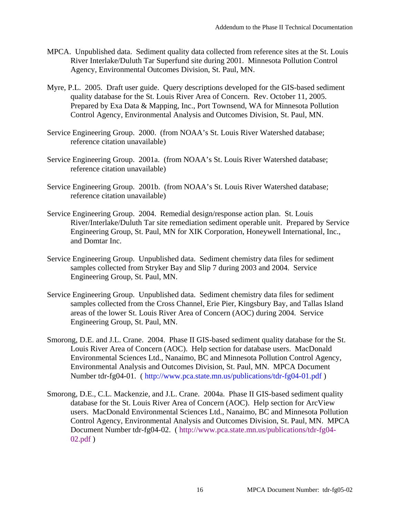- MPCA. Unpublished data. Sediment quality data collected from reference sites at the St. Louis River Interlake/Duluth Tar Superfund site during 2001. Minnesota Pollution Control Agency, Environmental Outcomes Division, St. Paul, MN.
- Myre, P.L. 2005. Draft user guide. Query descriptions developed for the GIS-based sediment quality database for the St. Louis River Area of Concern. Rev. October 11, 2005. Prepared by Exa Data & Mapping, Inc., Port Townsend, WA for Minnesota Pollution Control Agency, Environmental Analysis and Outcomes Division, St. Paul, MN.
- Service Engineering Group. 2000. (from NOAA's St. Louis River Watershed database; reference citation unavailable)
- Service Engineering Group. 2001a. (from NOAA's St. Louis River Watershed database; reference citation unavailable)
- Service Engineering Group. 2001b. (from NOAA's St. Louis River Watershed database; reference citation unavailable)
- Service Engineering Group. 2004. Remedial design/response action plan. St. Louis River/Interlake/Duluth Tar site remediation sediment operable unit. Prepared by Service Engineering Group, St. Paul, MN for XIK Corporation, Honeywell International, Inc., and Domtar Inc.
- Service Engineering Group. Unpublished data. Sediment chemistry data files for sediment samples collected from Stryker Bay and Slip 7 during 2003 and 2004. Service Engineering Group, St. Paul, MN.
- Service Engineering Group. Unpublished data. Sediment chemistry data files for sediment samples collected from the Cross Channel, Erie Pier, Kingsbury Bay, and Tallas Island areas of the lower St. Louis River Area of Concern (AOC) during 2004. Service Engineering Group, St. Paul, MN.
- Smorong, D.E. and J.L. Crane. 2004. Phase II GIS-based sediment quality database for the St. Louis River Area of Concern (AOC). Help section for database users. MacDonald Environmental Sciences Ltd., Nanaimo, BC and Minnesota Pollution Control Agency, Environmental Analysis and Outcomes Division, St. Paul, MN. MPCA Document Number tdr-fg04-01. ( [http://www.pca.state.mn.us/publications/tdr-fg04-01.pdf \)](http://www.pca.state.mn.us/publications/tdr-fg04-01.pdf)
- Smorong, D.E., C.L. Mackenzie, and J.L. Crane. 2004a. Phase II GIS-based sediment quality database for the St. Louis River Area of Concern (AOC). Help section for ArcView users. MacDonald Environmental Sciences Ltd., Nanaimo, BC and Minnesota Pollution Control Agency, Environmental Analysis and Outcomes Division, St. Paul, MN. MPCA Document Number tdr-fg04-02. ( [http://www.pca.state.mn.us/publications/tdr-fg04-](http://www.pca.state.mn.us/publications/tdr-fg04-02.pdf) [02.pdf \)](http://www.pca.state.mn.us/publications/tdr-fg04-02.pdf)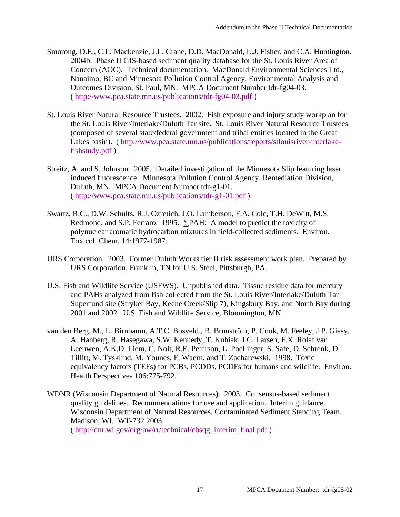- Smorong, D.E., C.L. Mackenzie, J.L. Crane, D.D. MacDonald, L.J. Fisher, and C.A. Huntington. 2004b. Phase II GIS-based sediment quality database for the St. Louis River Area of Concern (AOC). Technical documentation. MacDonald Environmental Sciences Ltd., Nanaimo, BC and Minnesota Pollution Control Agency, Environmental Analysis and Outcomes Division, St. Paul, MN. MPCA Document Number tdr-fg04-03. ( [http://www.pca.state.mn.us/publications/tdr-fg04-03.pdf \)](http://www.pca.state.mn.us/publications/tdr-fg04-03.pdf)
- St. Louis River Natural Resource Trustees. 2002. Fish exposure and injury study workplan for the St. Louis River/Interlake/Duluth Tar site. St. Louis River Natural Resource Trustees (composed of several state/federal government and tribal entities located in the Great [Lakes basin\). \( h](http://www.pca.state.mn.us/publications/reports/stlouisriver-interlake-fishstudy.pdf)[ttp://www.pca.state.mn.us/publications/reports/stlouisriver](http://www.pca.state.mn.us/publications/reports/stlouisriver-interlake-fishstudy.MPCADocumentNumber:tdr-fg05-17-02pdf)[-interlake](http://www.pca.state.mn.us/publications/reports/stlouisriver-interlake-fishstudy.pdf)fishstudy.[pdf \)](http://www.pca.state.mn.us/publications/reports/stlouisriver-interlake-fishstudy.MPCADocumentNumber:tdr-fg05-17-02pdf)
- Streitz, A. and S. Johnson. 2005. Detailed investigation of the Minnesota Slip featuring laser induced fluorescence. Minnesota Pollution Control Agency, Remediation Division, Duluth, MN. MPCA Document Number tdr-g1-01. ( [http://www.pca.state.mn.us/publications/tdr-g1-01.pdf \)](http://www.pca.state.mn.us/publications/tdr-g1-01.pdf)
- Swartz, R.C., D.W. Schults, R.J. Ozretich, J.O. Lamberson, F.A. Cole, T.H. DeWitt, M.S. Redmond, and S.P. Ferraro. 1995. ∑PAH: A model to predict the toxicity of polynuclear aromatic hydrocarbon mixtures in field-collected sediments. Environ. Toxicol. Chem. 14:1977-1987.
- URS Corporation. 2003. Former Duluth Works tier II risk assessment work plan. Prepared by URS Corporation, Franklin, TN for U.S. Steel, Pittsburgh, PA.
- U.S. Fish and Wildlife Service (USFWS). Unpublished data. Tissue residue data for mercury and PAHs analyzed from fish collected from the St. Louis River/Interlake/Duluth Tar Superfund site (Stryker Bay, Keene Creek/Slip 7), Kingsbury Bay, and North Bay during 2001 and 2002. U.S. Fish and Wildlife Service, Bloomington, MN.
- van den Berg, M., L. Birnbaum, A.T.C. Bosveld., B. Brunström, P. Cook, M. Feeley, J.P. Giesy, A. Hanberg, R. Hasegawa, S.W. Kennedy, T. Kubiak, J.C. Larsen, F.X. Rolaf van Leeuwen, A.K.D. Liem, C. Nolt, R.E. Peterson, L. Poellinger, S. Safe, D. Schrenk, D. Tillitt, M. Tysklind, M. Younes, F. Waern, and T. Zacharewski. 1998. Toxic equivalency factors (TEFs) for PCBs, PCDDs, PCDFs for humans and wildlife. Environ. Health Perspectives 106:775-792.
- WDNR (Wisconsin Department of Natural Resources). 2003. Consensus-based sediment quality guidelines. Recommendations for use and application. Interim guidance. Wisconsin Department of Natural Resources, Contaminated Sediment Standing Team, Madison, WI. WT-732 2003. ( [http://dnr.wi.gov/org/aw/rr/technical/cbsqg\\_interim\\_final.pdf \)](http://dnr.wi.gov/org/aw/rr/technical/cbsqg_interim_final.pdf)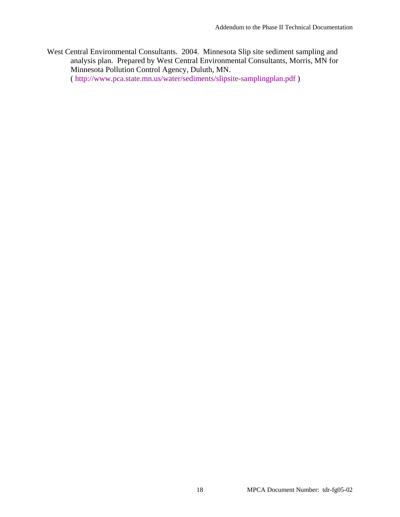West Central Environmental Consultants. 2004. Minnesota Slip site sediment sampling and analysis plan. Prepared by West Central Environmental Consultants, Morris, MN for Minnesota Pollution Control Agency, Duluth, MN. ( [http://www.pca.state.mn.us/water/sediments/slipsite-samplingplan.pdf \)](http://www.pca.state.mn.us/water/sediments/slipsite-samplingplan.pdf)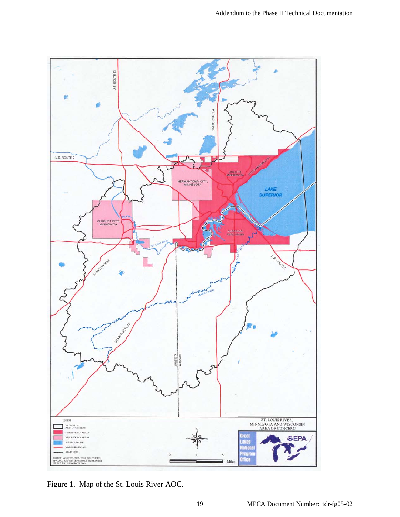

Figure 1. Map of the St. Louis River AOC.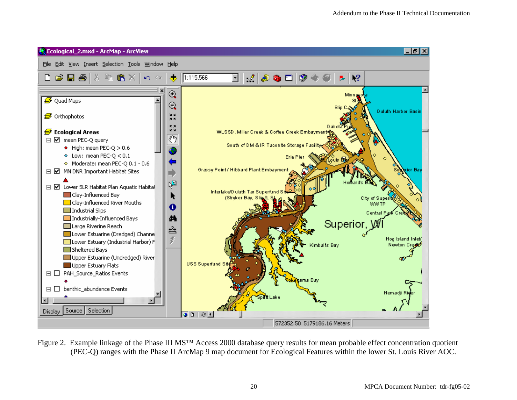

Figure 2. Example linkage of the Phase III MS™ Access 2000 database query results for mean probable effect concentration quotient (PEC-Q) ranges with the Phase II ArcMap 9 map document for Ecological Features within the lower St. Louis River AOC.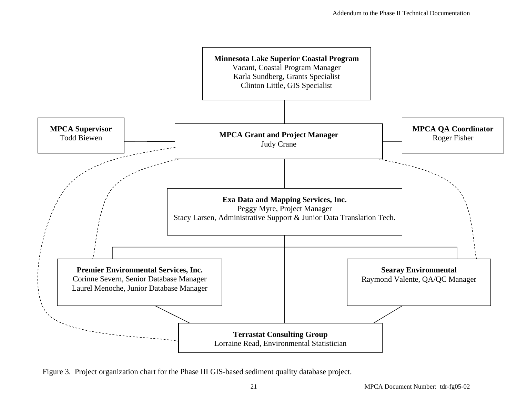

Figure 3. Project organization chart for the Phase III GIS-based sediment quality database project.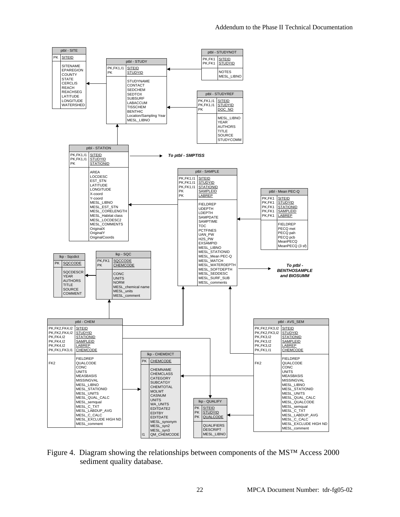

Figure 4. Diagram showing the relationships between components of the MS™ Access 2000 sediment quality database.

MESL\_LIBNO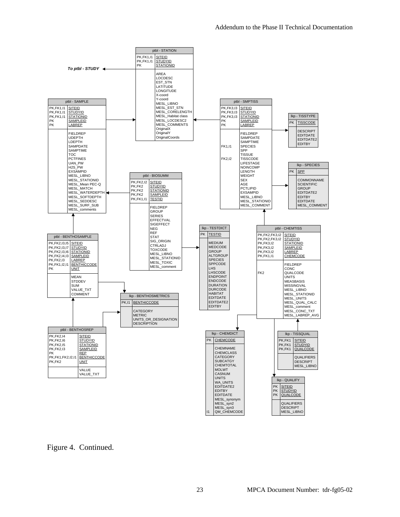

Figure 4. Continued.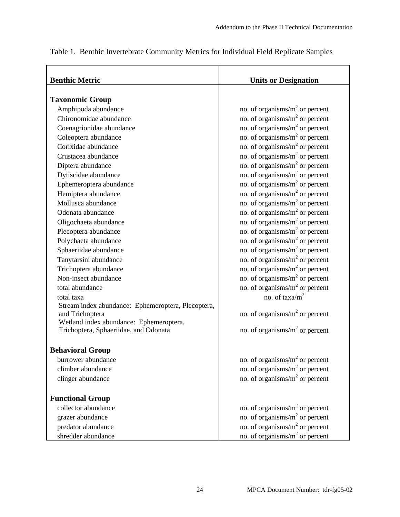| <b>Benthic Metric</b>                              | <b>Units or Designation</b>                |  |  |  |
|----------------------------------------------------|--------------------------------------------|--|--|--|
|                                                    |                                            |  |  |  |
| <b>Taxonomic Group</b>                             |                                            |  |  |  |
| Amphipoda abundance                                | no. of organisms/m <sup>2</sup> or percent |  |  |  |
| Chironomidae abundance                             | no. of organisms/ $m2$ or percent          |  |  |  |
| Coenagrionidae abundance                           | no. of organisms/ $m2$ or percent          |  |  |  |
| Coleoptera abundance                               | no. of organisms/ $m2$ or percent          |  |  |  |
| Corixidae abundance                                | no. of organisms/ $m2$ or percent          |  |  |  |
| Crustacea abundance                                | no. of organisms/ $m2$ or percent          |  |  |  |
| Diptera abundance                                  | no. of organisms/ $m2$ or percent          |  |  |  |
| Dytiscidae abundance                               | no. of organisms/ $m2$ or percent          |  |  |  |
| Ephemeroptera abundance                            | no. of organisms/ $m2$ or percent          |  |  |  |
| Hemiptera abundance                                | no. of organisms/ $m2$ or percent          |  |  |  |
| Mollusca abundance                                 | no. of organisms/m <sup>2</sup> or percent |  |  |  |
| Odonata abundance                                  | no. of organisms/ $m2$ or percent          |  |  |  |
| Oligochaeta abundance                              | no. of organisms/ $m2$ or percent          |  |  |  |
| Plecoptera abundance                               | no. of organisms/ $m2$ or percent          |  |  |  |
| Polychaeta abundance                               | no. of organisms/ $m2$ or percent          |  |  |  |
| Sphaeriidae abundance                              | no. of organisms/m <sup>2</sup> or percent |  |  |  |
| Tanytarsini abundance                              | no. of organisms/ $m2$ or percent          |  |  |  |
| Trichoptera abundance                              | no. of organisms/ $m2$ or percent          |  |  |  |
| Non-insect abundance                               | no. of organisms/ $m2$ or percent          |  |  |  |
| total abundance                                    | no. of organisms/ $m2$ or percent          |  |  |  |
| total taxa                                         | no. of taxa/m <sup>2</sup>                 |  |  |  |
| Stream index abundance: Ephemeroptera, Plecoptera, |                                            |  |  |  |
| and Trichoptera                                    | no. of organisms/ $m2$ or percent          |  |  |  |
| Wetland index abundance: Ephemeroptera,            |                                            |  |  |  |
| Trichoptera, Sphaeriidae, and Odonata              | no. of organisms/ $m2$ or percent          |  |  |  |
| <b>Behavioral Group</b>                            |                                            |  |  |  |
| burrower abundance                                 | no. of organisms/ $m2$ or percent          |  |  |  |
| climber abundance                                  | no. of organisms/ $m2$ or percent          |  |  |  |
| clinger abundance                                  | no. of organisms/ $m2$ or percent          |  |  |  |
|                                                    |                                            |  |  |  |
| <b>Functional Group</b>                            |                                            |  |  |  |
| collector abundance                                | no. of organisms/ $m2$ or percent          |  |  |  |
| grazer abundance                                   | no. of organisms/ $m2$ or percent          |  |  |  |
| predator abundance                                 | no. of organisms/ $m2$ or percent          |  |  |  |
| shredder abundance                                 | no. of organisms/ $m2$ or percent          |  |  |  |

Table 1. Benthic Invertebrate Community Metrics for Individual Field Replicate Samples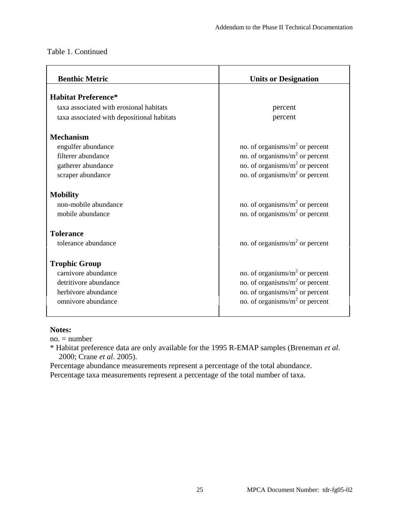| <b>Benthic Metric</b>                      | <b>Units or Designation</b>       |
|--------------------------------------------|-----------------------------------|
| <b>Habitat Preference*</b>                 |                                   |
| taxa associated with erosional habitats    | percent                           |
| taxa associated with depositional habitats | percent                           |
| <b>Mechanism</b>                           |                                   |
| engulfer abundance                         | no. of organisms/ $m2$ or percent |
| filterer abundance                         | no. of organisms/ $m2$ or percent |
| gatherer abundance                         | no. of organisms/ $m2$ or percent |
| scraper abundance                          | no. of organisms/ $m2$ or percent |
| <b>Mobility</b>                            |                                   |
| non-mobile abundance                       | no. of organisms/ $m2$ or percent |
| mobile abundance                           | no. of organisms/ $m2$ or percent |
| <b>Tolerance</b>                           |                                   |
| tolerance abundance                        | no. of organisms/ $m2$ or percent |
| <b>Trophic Group</b>                       |                                   |
| carnivore abundance                        | no. of organisms/ $m2$ or percent |
| detritivore abundance                      | no. of organisms/ $m2$ or percent |
| herbivore abundance                        | no. of organisms/ $m2$ or percent |
| omnivore abundance                         | no. of organisms/ $m2$ or percent |
|                                            |                                   |

#### **Notes:**

 $no. = number$ 

\* Habitat preference data are only available for the 1995 R-EMAP samples (Breneman *et al*. 2000; Crane *et al*. 2005).

Percentage abundance measurements represent a percentage of the total abundance. Percentage taxa measurements represent a percentage of the total number of taxa.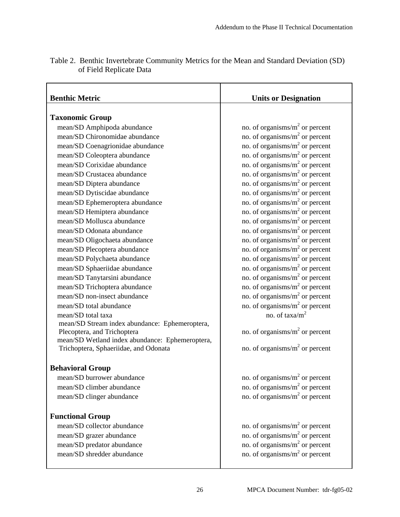| <b>Benthic Metric</b>                                                                    | <b>Units or Designation</b>                |
|------------------------------------------------------------------------------------------|--------------------------------------------|
|                                                                                          |                                            |
| <b>Taxonomic Group</b>                                                                   |                                            |
| mean/SD Amphipoda abundance                                                              | no. of organisms/ $m2$ or percent          |
| mean/SD Chironomidae abundance                                                           | no. of organisms/ $m2$ or percent          |
| mean/SD Coenagrionidae abundance                                                         | no. of organisms/ $m2$ or percent          |
| mean/SD Coleoptera abundance                                                             | no. of organisms/ $m2$ or percent          |
| mean/SD Corixidae abundance                                                              | no. of organisms/ $m2$ or percent          |
| mean/SD Crustacea abundance                                                              | no. of organisms/ $m2$ or percent          |
| mean/SD Diptera abundance                                                                | no. of organisms/ $m2$ or percent          |
| mean/SD Dytiscidae abundance                                                             | no. of organisms/ $m2$ or percent          |
| mean/SD Ephemeroptera abundance                                                          | no. of organisms/ $m2$ or percent          |
| mean/SD Hemiptera abundance                                                              | no. of organisms/ $m2$ or percent          |
| mean/SD Mollusca abundance                                                               | no. of organisms/ $m2$ or percent          |
| mean/SD Odonata abundance                                                                | no. of organisms/m <sup>2</sup> or percent |
| mean/SD Oligochaeta abundance                                                            | no. of organisms/ $m2$ or percent          |
| mean/SD Plecoptera abundance                                                             | no. of organisms/ $m2$ or percent          |
| mean/SD Polychaeta abundance                                                             | no. of organisms/ $m2$ or percent          |
| mean/SD Sphaeriidae abundance                                                            | no. of organisms/ $m2$ or percent          |
| mean/SD Tanytarsini abundance                                                            | no. of organisms/ $m2$ or percent          |
| mean/SD Trichoptera abundance                                                            | no. of organisms/ $m2$ or percent          |
| mean/SD non-insect abundance                                                             | no. of organisms/ $m2$ or percent          |
| mean/SD total abundance                                                                  | no. of organisms/ $m2$ or percent          |
| mean/SD total taxa                                                                       | no. of taxa/m <sup>2</sup>                 |
| mean/SD Stream index abundance: Ephemeroptera,                                           |                                            |
| Plecoptera, and Trichoptera                                                              | no. of organisms/ $m2$ or percent          |
| mean/SD Wetland index abundance: Ephemeroptera,<br>Trichoptera, Sphaeriidae, and Odonata | no. of organisms/ $m2$ or percent          |
|                                                                                          |                                            |
| <b>Behavioral Group</b>                                                                  |                                            |
| mean/SD burrower abundance                                                               | no. of organisms/ $m2$ or percent          |
| mean/SD climber abundance                                                                | no. of organisms/ $m2$ or percent          |
| mean/SD clinger abundance                                                                | no. of organisms/ $m2$ or percent          |
|                                                                                          |                                            |
| <b>Functional Group</b>                                                                  |                                            |
| mean/SD collector abundance                                                              | no. of organisms/ $m2$ or percent          |
| mean/SD grazer abundance                                                                 | no. of organisms/ $m2$ or percent          |
| mean/SD predator abundance                                                               | no. of organisms/ $m2$ or percent          |
| mean/SD shredder abundance                                                               | no. of organisms/ $m2$ or percent          |
|                                                                                          |                                            |

Table 2. Benthic Invertebrate Community Metrics for the Mean and Standard Deviation (SD) of Field Replicate Data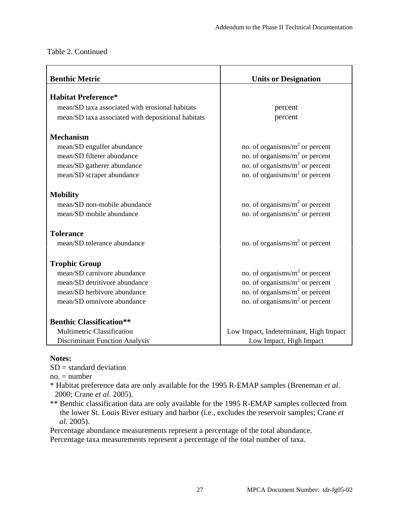| <b>Benthic Metric</b>                              | <b>Units or Designation</b>                |  |  |  |
|----------------------------------------------------|--------------------------------------------|--|--|--|
|                                                    |                                            |  |  |  |
| <b>Habitat Preference*</b>                         |                                            |  |  |  |
| mean/SD taxa associated with erosional habitats    | percent                                    |  |  |  |
| mean/SD taxa associated with depositional habitats | percent                                    |  |  |  |
| <b>Mechanism</b>                                   |                                            |  |  |  |
| mean/SD engulfer abundance                         | no. of organisms/ $m2$ or percent          |  |  |  |
| mean/SD filterer abundance                         | no. of organisms/ $m2$ or percent          |  |  |  |
| mean/SD gatherer abundance                         | no. of organisms/ $m2$ or percent          |  |  |  |
| mean/SD scraper abundance                          | no. of organisms/ $m2$ or percent          |  |  |  |
| <b>Mobility</b>                                    |                                            |  |  |  |
| mean/SD non-mobile abundance                       | no. of organisms/ $m2$ or percent          |  |  |  |
| mean/SD mobile abundance                           | no. of organisms/ $m2$ or percent          |  |  |  |
| <b>Tolerance</b>                                   |                                            |  |  |  |
| mean/SD tolerance abundance                        | no. of organisms/ $m2$ or percent          |  |  |  |
| <b>Trophic Group</b>                               |                                            |  |  |  |
| mean/SD carnivore abundance                        | no. of organisms/ $m2$ or percent          |  |  |  |
| mean/SD detritivore abundance                      | no. of organisms/m <sup>2</sup> or percent |  |  |  |
| mean/SD herbivore abundance                        | no. of organisms/ $m2$ or percent          |  |  |  |
| mean/SD omnivore abundance                         | no. of organisms/ $m2$ or percent          |  |  |  |
| <b>Benthic Classification**</b>                    |                                            |  |  |  |
| <b>Multimetric Classification</b>                  | Low Impact, Indeterminant, High Impact     |  |  |  |
| <b>Discriminant Function Analysis</b>              | Low Impact, High Impact                    |  |  |  |

#### **Notes:**

 $SD = standard deviation$ 

 $no. = number$ 

\* Habitat preference data are only available for the 1995 R-EMAP samples (Breneman *et al*. 2000; Crane *et al*. 2005).

\*\* Benthic classification data are only available for the 1995 R-EMAP samples collected from the lower St. Louis River estuary and harbor (i.e., excludes the reservoir samples; Crane *et al*. 2005).

Percentage abundance measurements represent a percentage of the total abundance. Percentage taxa measurements represent a percentage of the total number of taxa.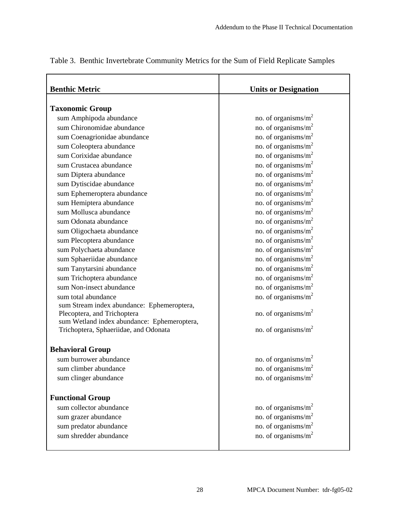| <b>Benthic Metric</b>                       | <b>Units or Designation</b>     |
|---------------------------------------------|---------------------------------|
|                                             |                                 |
| <b>Taxonomic Group</b>                      |                                 |
| sum Amphipoda abundance                     | no. of organisms/ $m^2$         |
| sum Chironomidae abundance                  | no. of organisms/ $m^2$         |
| sum Coenagrionidae abundance                | no. of organisms/ $m^2$         |
| sum Coleoptera abundance                    | no. of organisms/ $m^2$         |
| sum Corixidae abundance                     | no. of organisms/ $m^2$         |
| sum Crustacea abundance                     | no. of organisms/ $m^2$         |
| sum Diptera abundance                       | no. of organisms/ $m^2$         |
| sum Dytiscidae abundance                    | no. of organisms/ $m^2$         |
| sum Ephemeroptera abundance                 | no. of organisms/ $m^2$         |
| sum Hemiptera abundance                     | no. of organisms/ $m^2$         |
| sum Mollusca abundance                      | no. of organisms/ $m^2$         |
| sum Odonata abundance                       | no. of organisms/ $m^2$         |
| sum Oligochaeta abundance                   | no. of organisms/ $m^2$         |
| sum Plecoptera abundance                    | no. of organisms/ $m^2$         |
| sum Polychaeta abundance                    | no. of organisms/ $m^2$         |
| sum Sphaeriidae abundance                   | no. of organisms/ $m^2$         |
| sum Tanytarsini abundance                   | no. of organisms/ $m^2$         |
| sum Trichoptera abundance                   | no. of organisms/ $m^2$         |
| sum Non-insect abundance                    | no. of organisms/ $m^2$         |
| sum total abundance                         | no. of organisms/ $m^2$         |
| sum Stream index abundance: Ephemeroptera,  |                                 |
| Plecoptera, and Trichoptera                 | no. of organisms/m <sup>2</sup> |
| sum Wetland index abundance: Ephemeroptera, |                                 |
| Trichoptera, Sphaeriidae, and Odonata       | no. of organisms/ $m2$          |
|                                             |                                 |
| <b>Behavioral Group</b>                     |                                 |
| sum burrower abundance                      | no. of organisms/ $m^2$         |
| sum climber abundance                       | no. of organisms/ $m2$          |
| sum clinger abundance                       | no. of organisms/ $m2$          |
| <b>Functional Group</b>                     |                                 |
| sum collector abundance                     | no. of organisms/ $m^2$         |
| sum grazer abundance                        | no. of organisms/ $m2$          |
| sum predator abundance                      | no. of organisms/ $m^2$         |
| sum shredder abundance                      | no. of organisms/ $m^2$         |
|                                             |                                 |

Table 3. Benthic Invertebrate Community Metrics for the Sum of Field Replicate Samples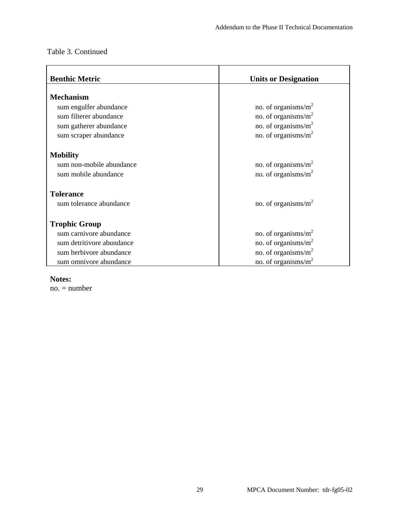| <b>Benthic Metric</b>                                                                                                   | <b>Units or Designation</b>                                                                              |
|-------------------------------------------------------------------------------------------------------------------------|----------------------------------------------------------------------------------------------------------|
| <b>Mechanism</b><br>sum engulfer abundance<br>sum filterer abundance<br>sum gatherer abundance<br>sum scraper abundance | no. of organisms/ $m^2$<br>no. of organisms/ $m^2$<br>no. of organisms/ $m^2$<br>no. of organisms/ $m^2$ |
| <b>Mobility</b><br>sum non-mobile abundance<br>sum mobile abundance                                                     | no. of organisms/ $m^2$<br>no. of organisms/ $m2$                                                        |
| <b>Tolerance</b><br>sum tolerance abundance                                                                             | no. of organisms/ $m^2$                                                                                  |
| <b>Trophic Group</b><br>sum carnivore abundance<br>sum detritivore abundance<br>sum herbivore abundance                 | no. of organisms/ $m2$<br>no. of organisms/ $m2$<br>no. of organisms/m <sup>2</sup>                      |
| sum omnivore abundance                                                                                                  | no. of organisms/ $m2$                                                                                   |

#### **Notes:**

no. = number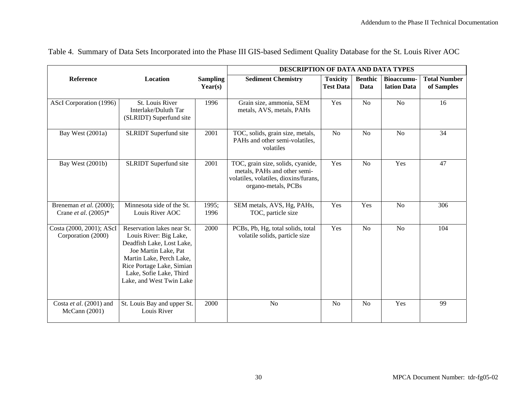|                                                    |                                                                                                                                                                                                                           |                            | DESCRIPTION OF DATA AND DATA TYPES                                                                                                |                                     |                        |                           |                                   |
|----------------------------------------------------|---------------------------------------------------------------------------------------------------------------------------------------------------------------------------------------------------------------------------|----------------------------|-----------------------------------------------------------------------------------------------------------------------------------|-------------------------------------|------------------------|---------------------------|-----------------------------------|
| Reference                                          | Location                                                                                                                                                                                                                  | <b>Sampling</b><br>Year(s) | <b>Sediment Chemistry</b>                                                                                                         | <b>Toxicity</b><br><b>Test Data</b> | <b>Benthic</b><br>Data | Bioaccumu-<br>lation Data | <b>Total Number</b><br>of Samples |
| AScI Corporation (1996)                            | St. Louis River<br>Interlake/Duluth Tar<br>(SLRIDT) Superfund site                                                                                                                                                        | 1996                       | Grain size, ammonia, SEM<br>metals, AVS, metals, PAHs                                                                             | Yes                                 | No                     | N <sub>o</sub>            | 16                                |
| Bay West (2001a)                                   | <b>SLRIDT</b> Superfund site                                                                                                                                                                                              | 2001                       | TOC, solids, grain size, metals,<br>PAHs and other semi-volatiles,<br>volatiles                                                   | N <sub>o</sub>                      | N <sub>o</sub>         | N <sub>o</sub>            | 34                                |
| Bay West (2001b)                                   | <b>SLRIDT</b> Superfund site                                                                                                                                                                                              | 2001                       | TOC, grain size, solids, cyanide,<br>metals, PAHs and other semi-<br>volatiles, volatiles, dioxins/furans,<br>organo-metals, PCBs | Yes                                 | N <sub>o</sub>         | Yes                       | 47                                |
| Breneman et al. (2000);<br>Crane et al. $(2005)^*$ | Minnesota side of the St.<br>Louis River AOC                                                                                                                                                                              | 1995;<br>1996              | SEM metals, AVS, Hg, PAHs,<br>TOC, particle size                                                                                  | Yes                                 | Yes                    | N <sub>o</sub>            | 306                               |
| Costa (2000, 2001); AScI<br>Corporation (2000)     | Reservation lakes near St.<br>Louis River: Big Lake,<br>Deadfish Lake, Lost Lake,<br>Joe Martin Lake, Pat<br>Martin Lake, Perch Lake,<br>Rice Portage Lake, Simian<br>Lake, Sofie Lake, Third<br>Lake, and West Twin Lake | 2000                       | PCBs, Pb, Hg, total solids, total<br>volatile solids, particle size                                                               | Yes                                 | N <sub>o</sub>         | N <sub>o</sub>            | 104                               |
| Costa et al. (2001) and<br>McCann (2001)           | St. Louis Bay and upper St.<br>Louis River                                                                                                                                                                                | 2000                       | N <sub>o</sub>                                                                                                                    | N <sub>o</sub>                      | N <sub>o</sub>         | Yes                       | 99                                |

Table 4. Summary of Data Sets Incorporated into the Phase III GIS-based Sediment Quality Database for the St. Louis River AOC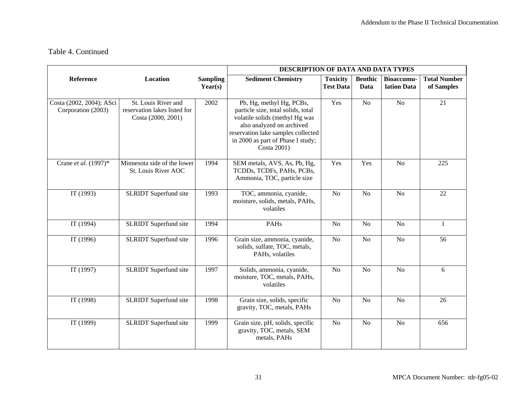$\mathcal{L}_{\mathcal{L}}$ 

|                                                |                                                                           |                            | DESCRIPTION OF DATA AND DATA TYPES                                                                                                                                                                                      |                                     |                        |                                  |                                   |
|------------------------------------------------|---------------------------------------------------------------------------|----------------------------|-------------------------------------------------------------------------------------------------------------------------------------------------------------------------------------------------------------------------|-------------------------------------|------------------------|----------------------------------|-----------------------------------|
| Reference                                      | Location                                                                  | <b>Sampling</b><br>Year(s) | <b>Sediment Chemistry</b>                                                                                                                                                                                               | <b>Toxicity</b><br><b>Test Data</b> | <b>Benthic</b><br>Data | <b>Bioaccumu-</b><br>lation Data | <b>Total Number</b><br>of Samples |
| Costa (2002, 2004); ASci<br>Corporation (2003) | St. Louis River and<br>reservation lakes listed for<br>Costa (2000, 2001) | 2002                       | Pb, Hg, methyl Hg, PCBs,<br>particle size, total solids, total<br>volatile solids (methyl Hg was<br>also analyzed on archived<br>reservation lake samples collected<br>in 2000 as part of Phase I study;<br>Costa 2001) | Yes                                 | N <sub>o</sub>         | No                               | $\overline{21}$                   |
| Crane et al. (1997)*                           | Minnesota side of the lower<br>St. Louis River AOC                        | 1994                       | SEM metals, AVS, As, Pb, Hg,<br>TCDDs, TCDFs, PAHs, PCBs,<br>Ammonia, TOC, particle size                                                                                                                                | Yes                                 | Yes                    | N <sub>o</sub>                   | 225                               |
| IT(1993)                                       | <b>SLRIDT</b> Superfund site                                              | 1993                       | TOC, ammonia, cyanide,<br>moisture, solids, metals, PAHs,<br>volatiles                                                                                                                                                  | N <sub>o</sub>                      | N <sub>o</sub>         | N <sub>o</sub>                   | 22                                |
| IT $(1994)$                                    | SLRIDT Superfund site                                                     | 1994                       | PAHs                                                                                                                                                                                                                    | N <sub>o</sub>                      | N <sub>o</sub>         | N <sub>o</sub>                   | $\mathbf{1}$                      |
| IT (1996)                                      | <b>SLRIDT</b> Superfund site                                              | 1996                       | Grain size, ammonia, cyanide,<br>solids, sulfate, TOC, metals,<br>PAHs, volatiles                                                                                                                                       | N <sub>o</sub>                      | N <sub>o</sub>         | N <sub>o</sub>                   | 56                                |
| IT (1997)                                      | SLRIDT Superfund site                                                     | 1997                       | Solids, ammonia, cyanide,<br>moisture, TOC, metals, PAHs,<br>volatiles                                                                                                                                                  | N <sub>o</sub>                      | N <sub>o</sub>         | N <sub>o</sub>                   | 6                                 |
| IT (1998)                                      | SLRIDT Superfund site                                                     | 1998                       | Grain size, solids, specific<br>gravity, TOC, metals, PAHs                                                                                                                                                              | N <sub>o</sub>                      | N <sub>o</sub>         | N <sub>o</sub>                   | 26                                |
| IT (1999)                                      | SLRIDT Superfund site                                                     | 1999                       | Grain size, pH, solids, specific<br>gravity, TOC, metals, SEM<br>metals, PAHs                                                                                                                                           | N <sub>o</sub>                      | N <sub>o</sub>         | N <sub>o</sub>                   | 656                               |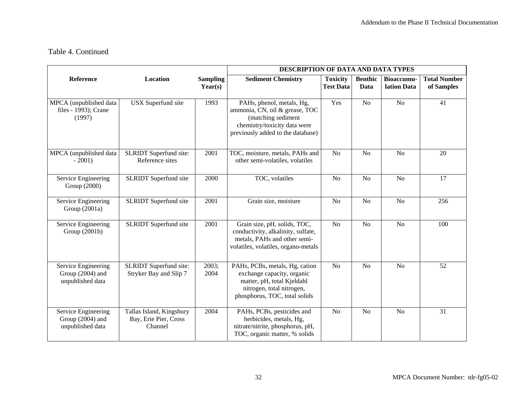$\sim$ 

|                                                             |                                                              |                            | DESCRIPTION OF DATA AND DATA TYPES                                                                                                                       |                                     |                        |                                  |                                   |
|-------------------------------------------------------------|--------------------------------------------------------------|----------------------------|----------------------------------------------------------------------------------------------------------------------------------------------------------|-------------------------------------|------------------------|----------------------------------|-----------------------------------|
| Reference                                                   | Location                                                     | <b>Sampling</b><br>Year(s) | <b>Sediment Chemistry</b>                                                                                                                                | <b>Toxicity</b><br><b>Test Data</b> | <b>Benthic</b><br>Data | <b>Bioaccumu-</b><br>lation Data | <b>Total Number</b><br>of Samples |
| MPCA (unpublished data<br>files - 1993); Crane<br>(1997)    | <b>USX</b> Superfund site                                    | 1993                       | PAHs, phenol, metals, Hg,<br>ammonia, CN, oil & grease, TOC<br>(matching sediment<br>chemistry/toxicity data were<br>previously added to the database)   | Yes                                 | No                     | $\overline{No}$                  | $\overline{41}$                   |
| MPCA (unpublished data<br>$-2001$                           | SLRIDT Superfund site:<br>Reference sites                    | 2001                       | TOC, moisture, metals, PAHs and<br>other semi-volatiles, volatiles                                                                                       | N <sub>o</sub>                      | No                     | No                               | 20                                |
| Service Engineering<br>Group (2000)                         | SLRIDT Superfund site                                        | 2000                       | TOC, volatiles                                                                                                                                           | N <sub>o</sub>                      | N <sub>o</sub>         | N <sub>o</sub>                   | 17                                |
| Service Engineering<br>Group $(2001a)$                      | SLRIDT Superfund site                                        | 2001                       | Grain size, moisture                                                                                                                                     | N <sub>o</sub>                      | No                     | No                               | 256                               |
| Service Engineering<br>Group (2001b)                        | <b>SLRIDT</b> Superfund site<br>2001                         |                            | Grain size, pH, solids, TOC,<br>conductivity, alkalinity, sulfate,<br>metals, PAHs and other semi-<br>volatiles, volatiles, organo-metals                | N <sub>o</sub>                      | No                     | N <sub>o</sub>                   | 100                               |
| Service Engineering<br>Group (2004) and<br>unpublished data | <b>SLRIDT</b> Superfund site:<br>Stryker Bay and Slip 7      | 2003;<br>2004              | PAHs, PCBs, metals, Hg, cation<br>exchange capacity, organic<br>matter, pH, total Kjeldahl<br>nitrogen, total nitrogen,<br>phosphorus, TOC, total solids | N <sub>o</sub>                      | N <sub>o</sub>         | No                               | 52                                |
| Service Engineering<br>Group (2004) and<br>unpublished data | Tallas Island, Kingsbury<br>Bay, Erie Pier, Cross<br>Channel | 2004                       | PAHs, PCBs, pesticides and<br>herbicides, metals, Hg,<br>nitrate/nitrite, phosphorus, pH,<br>TOC, organic matter, % solids                               | N <sub>o</sub>                      | No                     | No                               | 31                                |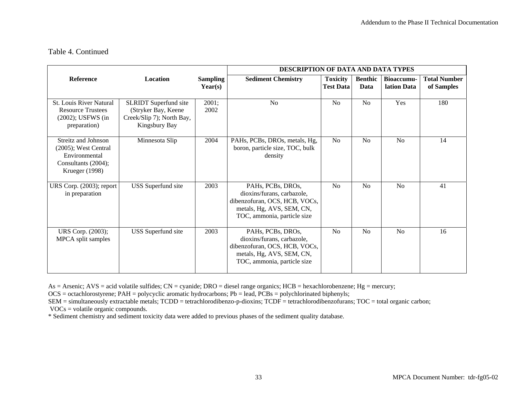|                                                                                                          |                                                                                                   |                            | DESCRIPTION OF DATA AND DATA TYPES                                                                                                           |                                     |                        |                           |                                   |
|----------------------------------------------------------------------------------------------------------|---------------------------------------------------------------------------------------------------|----------------------------|----------------------------------------------------------------------------------------------------------------------------------------------|-------------------------------------|------------------------|---------------------------|-----------------------------------|
| Reference                                                                                                | <b>Location</b>                                                                                   | <b>Sampling</b><br>Year(s) | <b>Sediment Chemistry</b>                                                                                                                    | <b>Toxicity</b><br><b>Test Data</b> | <b>Benthic</b><br>Data | Bioaccumu-<br>lation Data | <b>Total Number</b><br>of Samples |
| St. Louis River Natural<br><b>Resource Trustees</b><br>$(2002)$ ; USFWS $(in$<br>preparation)            | <b>SLRIDT</b> Superfund site<br>(Stryker Bay, Keene<br>Creek/Slip 7); North Bay,<br>Kingsbury Bay | 2001;<br>2002              | No                                                                                                                                           | N <sub>o</sub>                      | No                     | Yes                       | 180                               |
| Streitz and Johnson<br>$(2005)$ ; West Central<br>Environmental<br>Consultants (2004);<br>Krueger (1998) | Minnesota Slip                                                                                    | 2004                       | PAHs, PCBs, DROs, metals, Hg,<br>boron, particle size, TOC, bulk<br>density                                                                  | N <sub>o</sub>                      | N <sub>o</sub>         | N <sub>o</sub>            | 14                                |
| URS Corp. (2003); report<br>in preparation                                                               | USS Superfund site                                                                                | 2003                       | PAHs, PCBs, DROs,<br>dioxins/furans, carbazole,<br>dibenzofuran, OCS, HCB, VOCs,<br>metals, Hg, AVS, SEM, CN,<br>TOC, ammonia, particle size | N <sub>o</sub>                      | N <sub>0</sub>         | N <sub>0</sub>            | 41                                |
| URS Corp. (2003);<br>MPCA split samples                                                                  | USS Superfund site                                                                                | 2003                       | PAHs, PCBs, DROs,<br>dioxins/furans, carbazole,<br>dibenzofuran, OCS, HCB, VOCs,<br>metals, Hg, AVS, SEM, CN,<br>TOC, ammonia, particle size | N <sub>o</sub>                      | N <sub>o</sub>         | No                        | 16                                |

As = Arsenic;  $AVS = acid$  volatile sulfides;  $CN =$  cyanide;  $DRO =$  diesel range organics;  $HCB =$  hexachlorobenzene;  $Hg =$  mercury;

 $OCS =$  octachlorostyrene; PAH = polycyclic aromatic hydrocarbons; Pb = lead, PCBs = polychlorinated biphenyls;

SEM = simultaneously extractable metals; TCDD = tetrachlorodibenzo-p-dioxins; TCDF = tetrachlorodibenzofurans; TOC = total organic carbon; VOCs = volatile organic compounds.

\* Sediment chemistry and sediment toxicity data were added to previous phases of the sediment quality database.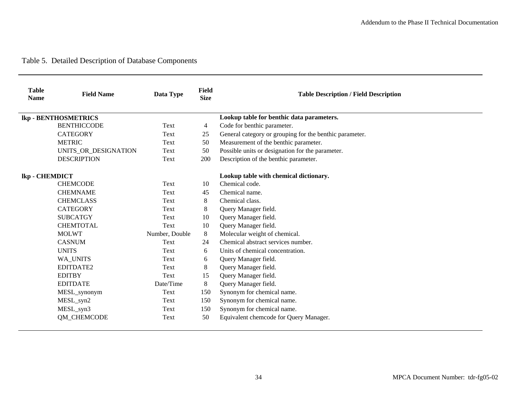# Table 5. Detailed Description of Database Components

| <b>Table</b><br><b>Name</b> | <b>Field Name</b>           | Data Type      | Field<br><b>Size</b> | <b>Table Description / Field Description</b>            |
|-----------------------------|-----------------------------|----------------|----------------------|---------------------------------------------------------|
|                             | <b>lkp - BENTHOSMETRICS</b> |                |                      | Lookup table for benthic data parameters.               |
|                             | <b>BENTHICCODE</b>          | Text           | 4                    | Code for benthic parameter.                             |
|                             | <b>CATEGORY</b>             | Text           | 25                   | General category or grouping for the benthic parameter. |
|                             | <b>METRIC</b>               | Text           | 50                   | Measurement of the benthic parameter.                   |
|                             | UNITS_OR_DESIGNATION        | Text           | 50                   | Possible units or designation for the parameter.        |
|                             | <b>DESCRIPTION</b>          | Text           | 200                  | Description of the benthic parameter.                   |
| lkp - CHEMDICT              |                             |                |                      | Lookup table with chemical dictionary.                  |
|                             | <b>CHEMCODE</b>             | Text           | 10                   | Chemical code.                                          |
|                             | <b>CHEMNAME</b>             | Text           | 45                   | Chemical name.                                          |
|                             | <b>CHEMCLASS</b>            | Text           | 8                    | Chemical class.                                         |
|                             | <b>CATEGORY</b>             | Text           | 8                    | Query Manager field.                                    |
|                             | <b>SUBCATGY</b>             | Text           | 10                   | Query Manager field.                                    |
|                             | <b>CHEMTOTAL</b>            | Text           | 10                   | Query Manager field.                                    |
|                             | <b>MOLWT</b>                | Number, Double | 8                    | Molecular weight of chemical.                           |
|                             | <b>CASNUM</b>               | Text           | 24                   | Chemical abstract services number.                      |
|                             | <b>UNITS</b>                | Text           | 6                    | Units of chemical concentration.                        |
|                             | WA UNITS                    | Text           | 6                    | Query Manager field.                                    |
|                             | EDITDATE2                   | Text           | 8                    | Query Manager field.                                    |
|                             | <b>EDITBY</b>               | Text           | 15                   | Query Manager field.                                    |
|                             | <b>EDITDATE</b>             | Date/Time      | 8                    | Query Manager field.                                    |
|                             | MESL_synonym                | Text           | 150                  | Synonym for chemical name.                              |
|                             | MESL_syn2                   | Text           | 150                  | Synonym for chemical name.                              |
|                             | MESL_syn3                   | Text           | 150                  | Synonym for chemical name.                              |
|                             | QM_CHEMCODE                 | Text           | 50                   | Equivalent chemcode for Query Manager.                  |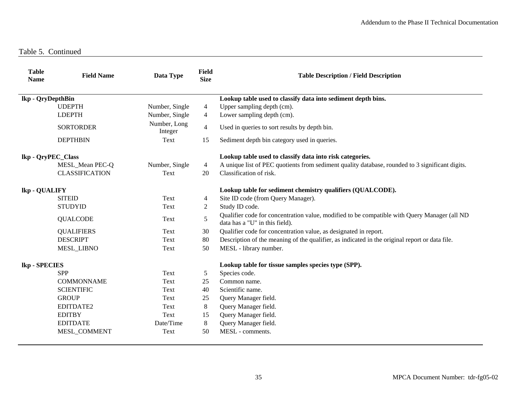Table 5. Continued

| <b>Table</b><br><b>Name</b> | <b>Field Name</b>     | Data Type               | <b>Field</b><br><b>Size</b> | <b>Table Description / Field Description</b>                                                                                   |
|-----------------------------|-----------------------|-------------------------|-----------------------------|--------------------------------------------------------------------------------------------------------------------------------|
| lkp - QryDepthBin           |                       |                         |                             | Lookup table used to classify data into sediment depth bins.                                                                   |
|                             | <b>UDEPTH</b>         | Number, Single          | 4                           | Upper sampling depth (cm).                                                                                                     |
|                             | <b>LDEPTH</b>         | Number, Single          | $\overline{4}$              | Lower sampling depth (cm).                                                                                                     |
|                             | <b>SORTORDER</b>      | Number, Long<br>Integer | 4                           | Used in queries to sort results by depth bin.                                                                                  |
|                             | <b>DEPTHBIN</b>       | Text                    | 15                          | Sediment depth bin category used in queries.                                                                                   |
| lkp - QryPEC_Class          |                       |                         |                             | Lookup table used to classify data into risk categories.                                                                       |
|                             | MESL_Mean PEC-Q       | Number, Single          | 4                           | A unique list of PEC quotients from sediment quality database, rounded to 3 significant digits.                                |
|                             | <b>CLASSIFICATION</b> | Text                    | 20                          | Classification of risk.                                                                                                        |
| lkp - QUALIFY               |                       |                         |                             | Lookup table for sediment chemistry qualifiers (QUALCODE).                                                                     |
|                             | <b>SITEID</b>         | Text                    | 4                           | Site ID code (from Query Manager).                                                                                             |
|                             | <b>STUDYID</b>        | Text                    | 2                           | Study ID code.                                                                                                                 |
|                             | <b>QUALCODE</b>       | Text                    | 5                           | Qualifier code for concentration value, modified to be compatible with Query Manager (all ND<br>data has a "U" in this field). |
|                             | <b>QUALIFIERS</b>     | Text                    | 30                          | Qualifier code for concentration value, as designated in report.                                                               |
|                             | <b>DESCRIPT</b>       | Text                    | 80                          | Description of the meaning of the qualifier, as indicated in the original report or data file.                                 |
|                             | MESL_LIBNO            | Text                    | 50                          | MESL - library number.                                                                                                         |
| lkp - SPECIES               |                       |                         |                             | Lookup table for tissue samples species type (SPP).                                                                            |
|                             | <b>SPP</b>            | Text                    | 5                           | Species code.                                                                                                                  |
|                             | <b>COMMONNAME</b>     | Text                    | 25                          | Common name.                                                                                                                   |
|                             | <b>SCIENTIFIC</b>     | Text                    | 40                          | Scientific name.                                                                                                               |
|                             | <b>GROUP</b>          | Text                    | 25                          | Query Manager field.                                                                                                           |
|                             | EDITDATE2             | Text                    | 8                           | Query Manager field.                                                                                                           |
|                             | <b>EDITBY</b>         | Text                    | 15                          | Query Manager field.                                                                                                           |
|                             | <b>EDITDATE</b>       | Date/Time               | 8                           | Query Manager field.                                                                                                           |
|                             | MESL_COMMENT          | Text                    | 50                          | MESL - comments.                                                                                                               |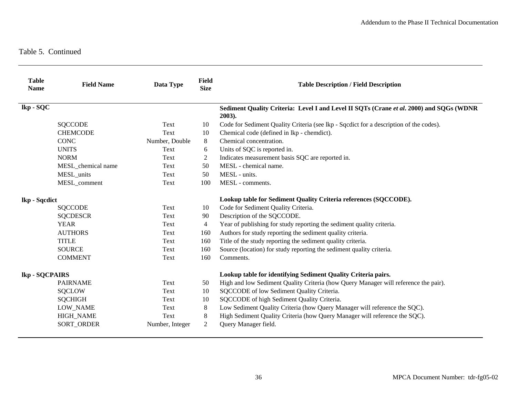| <b>Table</b><br><b>Name</b> | <b>Field Name</b>  | Data Type       | Field<br><b>Size</b> | <b>Table Description / Field Description</b>                                                      |
|-----------------------------|--------------------|-----------------|----------------------|---------------------------------------------------------------------------------------------------|
| lkp - SQC                   |                    |                 |                      | Sediment Quality Criteria: Level I and Level II SQTs (Crane et al. 2000) and SQGs (WDNR<br>2003). |
|                             | <b>SQCCODE</b>     | Text            | 10                   | Code for Sediment Quality Criteria (see lkp - Sqcdict for a description of the codes).            |
|                             | <b>CHEMCODE</b>    | Text            | 10                   | Chemical code (defined in lkp - chemdict).                                                        |
|                             | <b>CONC</b>        | Number, Double  | 8                    | Chemical concentration.                                                                           |
|                             | <b>UNITS</b>       | Text            | 6                    | Units of SQC is reported in.                                                                      |
|                             | <b>NORM</b>        | Text            | 2                    | Indicates measurement basis SQC are reported in.                                                  |
|                             | MESL_chemical name | Text            | 50                   | MESL - chemical name.                                                                             |
|                             | MESL_units         | Text            | 50                   | MESL - units.                                                                                     |
|                             | MESL_comment       | Text            | 100                  | MESL - comments.                                                                                  |
| lkp - Sqcdict               |                    |                 |                      | Lookup table for Sediment Quality Criteria references (SQCCODE).                                  |
|                             | <b>SQCCODE</b>     | Text            | 10                   | Code for Sediment Quality Criteria.                                                               |
|                             | <b>SQCDESCR</b>    | Text            | 90                   | Description of the SQCCODE.                                                                       |
|                             | <b>YEAR</b>        | Text            | $\overline{4}$       | Year of publishing for study reporting the sediment quality criteria.                             |
|                             | <b>AUTHORS</b>     | Text            | 160                  | Authors for study reporting the sediment quality criteria.                                        |
|                             | <b>TITLE</b>       | Text            | 160                  | Title of the study reporting the sediment quality criteria.                                       |
|                             | <b>SOURCE</b>      | Text            | 160                  | Source (location) for study reporting the sediment quality criteria.                              |
|                             | <b>COMMENT</b>     | Text            | 160                  | Comments.                                                                                         |
| lkp - SQCPAIRS              |                    |                 |                      | Lookup table for identifying Sediment Quality Criteria pairs.                                     |
|                             | <b>PAIRNAME</b>    | Text            | 50                   | High and low Sediment Quality Criteria (how Query Manager will reference the pair).               |
|                             | <b>SQCLOW</b>      | Text            | 10                   | SQCCODE of low Sediment Quality Criteria.                                                         |
|                             | <b>SQCHIGH</b>     | Text            | 10                   | SQCCODE of high Sediment Quality Criteria.                                                        |
|                             | LOW_NAME           | Text            | $8\,$                | Low Sediment Quality Criteria (how Query Manager will reference the SQC).                         |
|                             | <b>HIGH_NAME</b>   | Text            | 8                    | High Sediment Quality Criteria (how Query Manager will reference the SQC).                        |
|                             | <b>SORT ORDER</b>  | Number, Integer | $\overline{2}$       | Query Manager field.                                                                              |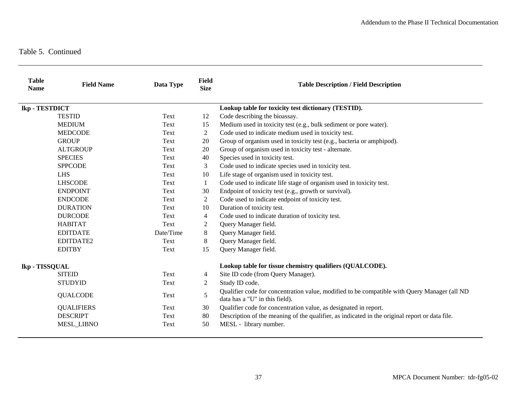| <b>Table</b><br><b>Name</b> | <b>Field Name</b> | Data Type | <b>Field</b><br><b>Size</b> | <b>Table Description / Field Description</b>                                                                                   |
|-----------------------------|-------------------|-----------|-----------------------------|--------------------------------------------------------------------------------------------------------------------------------|
| lkp - TESTDICT              |                   |           |                             | Lookup table for toxicity test dictionary (TESTID).                                                                            |
|                             | <b>TESTID</b>     | Text      | 12                          | Code describing the bioassay.                                                                                                  |
|                             | <b>MEDIUM</b>     | Text      | 15                          | Medium used in toxicity test (e.g., bulk sediment or pore water).                                                              |
|                             | <b>MEDCODE</b>    | Text      | 2                           | Code used to indicate medium used in toxicity test.                                                                            |
|                             | <b>GROUP</b>      | Text      | 20                          | Group of organism used in toxicity test (e.g., bacteria or amphipod).                                                          |
|                             | <b>ALTGROUP</b>   | Text      | 20                          | Group of organism used in toxicity test - alternate.                                                                           |
|                             | <b>SPECIES</b>    | Text      | 40                          | Species used in toxicity test.                                                                                                 |
|                             | <b>SPPCODE</b>    | Text      | 3                           | Code used to indicate species used in toxicity test.                                                                           |
|                             | <b>LHS</b>        | Text      | 10                          | Life stage of organism used in toxicity test.                                                                                  |
|                             | <b>LHSCODE</b>    | Text      | 1                           | Code used to indicate life stage of organism used in toxicity test.                                                            |
|                             | <b>ENDPOINT</b>   | Text      | 30                          | Endpoint of toxicity test (e.g., growth or survival).                                                                          |
|                             | <b>ENDCODE</b>    | Text      | 2                           | Code used to indicate endpoint of toxicity test.                                                                               |
|                             | <b>DURATION</b>   | Text      | 10                          | Duration of toxicity test.                                                                                                     |
|                             | <b>DURCODE</b>    | Text      | 4                           | Code used to indicate duration of toxicity test.                                                                               |
|                             | <b>HABITAT</b>    | Text      | 2                           | Query Manager field.                                                                                                           |
|                             | <b>EDITDATE</b>   | Date/Time | 8                           | Query Manager field.                                                                                                           |
|                             | EDITDATE2         | Text      | 8                           | Query Manager field.                                                                                                           |
|                             | <b>EDITBY</b>     | Text      | 15                          | Query Manager field.                                                                                                           |
| lkp - TISSQUAL              |                   |           |                             | Lookup table for tissue chemistry qualifiers (QUALCODE).                                                                       |
|                             | <b>SITEID</b>     | Text      | 4                           | Site ID code (from Query Manager).                                                                                             |
|                             | <b>STUDYID</b>    | Text      | 2                           | Study ID code.                                                                                                                 |
|                             | <b>QUALCODE</b>   | Text      | 5                           | Qualifier code for concentration value, modified to be compatible with Query Manager (all ND<br>data has a "U" in this field). |
|                             | <b>QUALIFIERS</b> | Text      | 30                          | Qualifier code for concentration value, as designated in report.                                                               |
|                             | <b>DESCRIPT</b>   | Text      | 80                          | Description of the meaning of the qualifier, as indicated in the original report or data file.                                 |
|                             | <b>MESL_LIBNO</b> | Text      | 50                          | MESL - library number.                                                                                                         |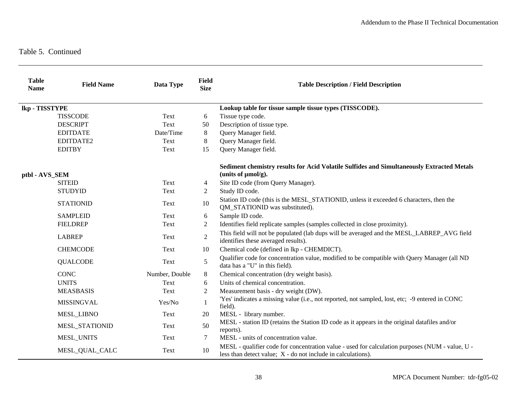| <b>Table</b><br><b>Name</b> | <b>Field Name</b> | Data Type      | <b>Field</b><br><b>Size</b> | <b>Table Description / Field Description</b>                                                                                                                      |
|-----------------------------|-------------------|----------------|-----------------------------|-------------------------------------------------------------------------------------------------------------------------------------------------------------------|
| lkp - TISSTYPE              |                   |                |                             | Lookup table for tissue sample tissue types (TISSCODE).                                                                                                           |
|                             | <b>TISSCODE</b>   | Text           | 6                           | Tissue type code.                                                                                                                                                 |
|                             | <b>DESCRIPT</b>   | Text           | 50                          | Description of tissue type.                                                                                                                                       |
|                             | <b>EDITDATE</b>   | Date/Time      | 8                           | Query Manager field.                                                                                                                                              |
|                             | EDITDATE2         | Text           | 8                           | Query Manager field.                                                                                                                                              |
|                             | <b>EDITBY</b>     | Text           | 15                          | Query Manager field.                                                                                                                                              |
| ptbl - AVS_SEM              |                   |                |                             | Sediment chemistry results for Acid Volatile Sulfides and Simultaneously Extracted Metals<br>(units of $\mu$ mol/g).                                              |
|                             | <b>SITEID</b>     | Text           | 4                           | Site ID code (from Query Manager).                                                                                                                                |
|                             | <b>STUDYID</b>    | Text           | 2                           | Study ID code.                                                                                                                                                    |
|                             | <b>STATIONID</b>  | Text           | 10                          | Station ID code (this is the MESL_STATIONID, unless it exceeded 6 characters, then the<br>QM_STATIONID was substituted).                                          |
|                             | <b>SAMPLEID</b>   | Text           | 6                           | Sample ID code.                                                                                                                                                   |
|                             | <b>FIELDREP</b>   | Text           | 2                           | Identifies field replicate samples (samples collected in close proximity).                                                                                        |
|                             | <b>LABREP</b>     | Text           | $\overline{2}$              | This field will not be populated (lab dups will be averaged and the MESL_LABREP_AVG field<br>identifies these averaged results).                                  |
|                             | <b>CHEMCODE</b>   | Text           | 10                          | Chemical code (defined in lkp - CHEMDICT).                                                                                                                        |
|                             | <b>QUALCODE</b>   | Text           | 5                           | Qualifier code for concentration value, modified to be compatible with Query Manager (all ND<br>data has a "U" in this field).                                    |
|                             | <b>CONC</b>       | Number, Double | 8                           | Chemical concentration (dry weight basis).                                                                                                                        |
|                             | <b>UNITS</b>      | Text           | 6                           | Units of chemical concentration.                                                                                                                                  |
|                             | <b>MEASBASIS</b>  | Text           | 2                           | Measurement basis - dry weight (DW).                                                                                                                              |
|                             | <b>MISSINGVAL</b> | Yes/No         | $\mathbf{1}$                | 'Yes' indicates a missing value (i.e., not reported, not sampled, lost, etc; -9 entered in CONC<br>field).                                                        |
|                             | <b>MESL_LIBNO</b> | Text           | 20                          | MESL - library number.                                                                                                                                            |
|                             | MESL_STATIONID    | Text           | 50                          | MESL - station ID (retains the Station ID code as it appears in the original datafiles and/or<br>reports).                                                        |
|                             | <b>MESL_UNITS</b> | Text           | 7                           | MESL - units of concentration value.                                                                                                                              |
|                             | MESL_QUAL_CALC    | Text           | 10                          | MESL - qualifier code for concentration value - used for calculation purposes (NUM - value, U -<br>less than detect value; $X$ - do not include in calculations). |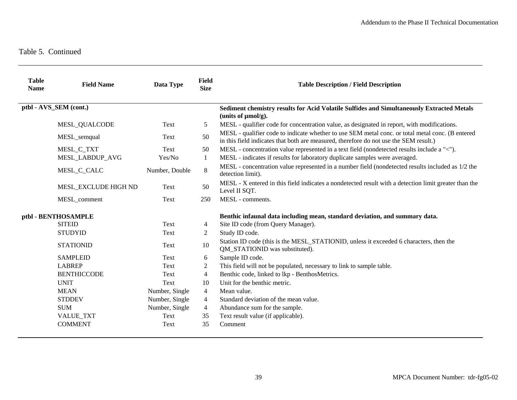| <b>Table</b><br><b>Name</b> | <b>Field Name</b>      | Data Type      | <b>Field</b><br><b>Size</b> | <b>Table Description / Field Description</b>                                                                                                                                              |
|-----------------------------|------------------------|----------------|-----------------------------|-------------------------------------------------------------------------------------------------------------------------------------------------------------------------------------------|
|                             | ptbl - AVS_SEM (cont.) |                |                             | Sediment chemistry results for Acid Volatile Sulfides and Simultaneously Extracted Metals<br>(units of $\mu$ mol/g).                                                                      |
|                             | MESL_QUALCODE          | Text           | 5                           | MESL - qualifier code for concentration value, as designated in report, with modifications.                                                                                               |
|                             | MESL_semqual           | Text           | 50                          | MESL - qualifier code to indicate whether to use SEM metal conc. or total metal conc. (B entered<br>in this field indicates that both are measured, therefore do not use the SEM result.) |
|                             | MESL_C_TXT             | Text           | 50                          | MESL - concentration value represented in a text field (nondetected results include a "<").                                                                                               |
|                             | <b>MESL LABDUP AVG</b> | Yes/No         | 1                           | MESL - indicates if results for laboratory duplicate samples were averaged.                                                                                                               |
|                             | MESL_C_CALC            | Number, Double | $8\,$                       | MESL - concentration value represented in a number field (nondetected results included as 1/2 the<br>detection limit).                                                                    |
|                             | MESL_EXCLUDE HIGH ND   | Text           | 50                          | MESL - X entered in this field indicates a nondetected result with a detection limit greater than the<br>Level II SQT.                                                                    |
|                             | MESL_comment           | Text           | 250                         | MESL - comments.                                                                                                                                                                          |
|                             | ptbl - BENTHOSAMPLE    |                |                             | Benthic infaunal data including mean, standard deviation, and summary data.                                                                                                               |
|                             | <b>SITEID</b>          | Text           | $\overline{4}$              | Site ID code (from Query Manager).                                                                                                                                                        |
|                             | <b>STUDYID</b>         | Text           | 2                           | Study ID code.                                                                                                                                                                            |
|                             | <b>STATIONID</b>       | Text           | 10                          | Station ID code (this is the MESL_STATIONID, unless it exceeded 6 characters, then the<br>QM_STATIONID was substituted).                                                                  |
|                             | <b>SAMPLEID</b>        | Text           | 6                           | Sample ID code.                                                                                                                                                                           |
|                             | <b>LABREP</b>          | Text           | $\mathfrak{2}$              | This field will not be populated, necessary to link to sample table.                                                                                                                      |
|                             | <b>BENTHICCODE</b>     | Text           | 4                           | Benthic code, linked to lkp - BenthosMetrics.                                                                                                                                             |
|                             | <b>UNIT</b>            | Text           | 10                          | Unit for the benthic metric.                                                                                                                                                              |
|                             | <b>MEAN</b>            | Number, Single | $\overline{4}$              | Mean value.                                                                                                                                                                               |
|                             | <b>STDDEV</b>          | Number, Single | $\overline{4}$              | Standard deviation of the mean value.                                                                                                                                                     |
|                             | <b>SUM</b>             | Number, Single | $\overline{4}$              | Abundance sum for the sample.                                                                                                                                                             |
|                             | <b>VALUE_TXT</b>       | Text           | 35                          | Text result value (if applicable).                                                                                                                                                        |
|                             | <b>COMMENT</b>         | Text           | 35                          | Comment                                                                                                                                                                                   |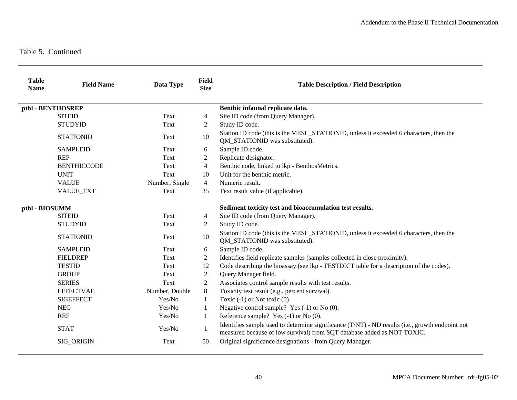| <b>Table</b><br><b>Name</b> | <b>Field Name</b>  | Data Type      | <b>Field</b><br><b>Size</b> | <b>Table Description / Field Description</b>                                                                                                                               |
|-----------------------------|--------------------|----------------|-----------------------------|----------------------------------------------------------------------------------------------------------------------------------------------------------------------------|
|                             | ptbl - BENTHOSREP  |                |                             | Benthic infaunal replicate data.                                                                                                                                           |
|                             | <b>SITEID</b>      | Text           | $\overline{4}$              | Site ID code (from Query Manager).                                                                                                                                         |
|                             | <b>STUDYID</b>     | Text           | 2                           | Study ID code.                                                                                                                                                             |
|                             | <b>STATIONID</b>   | Text           | 10                          | Station ID code (this is the MESL_STATIONID, unless it exceeded 6 characters, then the<br>QM_STATIONID was substituted).                                                   |
|                             | <b>SAMPLEID</b>    | Text           | 6                           | Sample ID code.                                                                                                                                                            |
|                             | <b>REP</b>         | Text           | 2                           | Replicate designator.                                                                                                                                                      |
|                             | <b>BENTHICCODE</b> | Text           | $\overline{4}$              | Benthic code, linked to lkp - BenthosMetrics.                                                                                                                              |
|                             | <b>UNIT</b>        | Text           | 10                          | Unit for the benthic metric.                                                                                                                                               |
|                             | <b>VALUE</b>       | Number, Single | $\overline{4}$              | Numeric result.                                                                                                                                                            |
|                             | VALUE_TXT          | Text           | 35                          | Text result value (if applicable).                                                                                                                                         |
| ptbl - BIOSUMM              |                    |                |                             | Sediment toxicity test and bioaccumulation test results.                                                                                                                   |
|                             | <b>SITEID</b>      | Text           | $\overline{4}$              | Site ID code (from Query Manager).                                                                                                                                         |
|                             | <b>STUDYID</b>     | Text           | 2                           | Study ID code.                                                                                                                                                             |
|                             | <b>STATIONID</b>   | Text           | 10                          | Station ID code (this is the MESL_STATIONID, unless it exceeded 6 characters, then the<br>QM_STATIONID was substituted).                                                   |
|                             | <b>SAMPLEID</b>    | Text           | 6                           | Sample ID code.                                                                                                                                                            |
|                             | <b>FIELDREP</b>    | Text           | $\overline{2}$              | Identifies field replicate samples (samples collected in close proximity).                                                                                                 |
|                             | <b>TESTID</b>      | Text           | 12                          | Code describing the bioassay (see lkp - TESTDICT table for a description of the codes).                                                                                    |
|                             | <b>GROUP</b>       | Text           | 2                           | Query Manager field.                                                                                                                                                       |
|                             | <b>SERIES</b>      | Text           | 2                           | Associates control sample results with test results.                                                                                                                       |
|                             | <b>EFFECTVAL</b>   | Number, Double | 8                           | Toxicity test result (e.g., percent survival).                                                                                                                             |
|                             | <b>SIGEFFECT</b>   | Yes/No         | 1                           | Toxic $(-1)$ or Not toxic $(0)$ .                                                                                                                                          |
|                             | <b>NEG</b>         | Yes/No         | 1                           | Negative control sample? Yes $(-1)$ or No $(0)$ .                                                                                                                          |
|                             | <b>REF</b>         | Yes/No         | 1                           | Reference sample? Yes $(-1)$ or No $(0)$ .                                                                                                                                 |
|                             | <b>STAT</b>        | Yes/No         | 1                           | Identifies sample used to determine significance (T/NT) - ND results (i.e., growth endpoint not<br>measured because of low survival) from SQT database added as NOT TOXIC. |
|                             | SIG_ORIGIN         | Text           | 50                          | Original significance designations - from Query Manager.                                                                                                                   |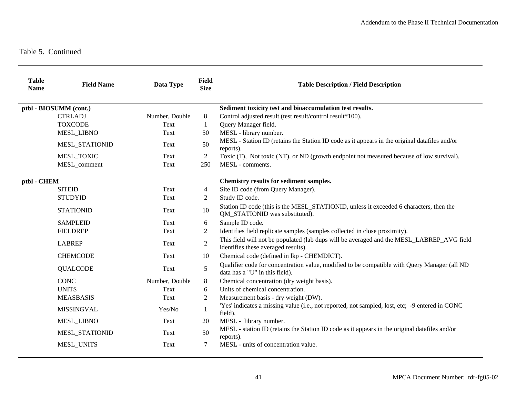| <b>Table</b><br><b>Name</b> | <b>Field Name</b>      | Data Type      | <b>Field</b><br><b>Size</b> | <b>Table Description / Field Description</b>                                                                                     |
|-----------------------------|------------------------|----------------|-----------------------------|----------------------------------------------------------------------------------------------------------------------------------|
|                             | ptbl - BIOSUMM (cont.) |                |                             | Sediment toxicity test and bioaccumulation test results.                                                                         |
|                             | <b>CTRLADJ</b>         | Number, Double | 8                           | Control adjusted result (test result/control result*100).                                                                        |
|                             | <b>TOXCODE</b>         | Text           | $\mathbf{1}$                | Query Manager field.                                                                                                             |
|                             | <b>MESL LIBNO</b>      | Text           | 50                          | MESL - library number.                                                                                                           |
|                             | MESL_STATIONID         | Text           | 50                          | MESL - Station ID (retains the Station ID code as it appears in the original datafiles and/or<br>reports).                       |
|                             | MESL_TOXIC             | Text           | 2                           | Toxic (T), Not toxic (NT), or ND (growth endpoint not measured because of low survival).                                         |
|                             | MESL_comment           | Text           | 250                         | MESL - comments.                                                                                                                 |
| ptbl - CHEM                 |                        |                |                             | Chemistry results for sediment samples.                                                                                          |
|                             | <b>SITEID</b>          | Text           | 4                           | Site ID code (from Query Manager).                                                                                               |
|                             | <b>STUDYID</b>         | Text           | 2                           | Study ID code.                                                                                                                   |
|                             | <b>STATIONID</b>       | Text           | 10                          | Station ID code (this is the MESL_STATIONID, unless it exceeded 6 characters, then the<br>QM_STATIONID was substituted).         |
|                             | <b>SAMPLEID</b>        | Text           | 6                           | Sample ID code.                                                                                                                  |
|                             | <b>FIELDREP</b>        | Text           | 2                           | Identifies field replicate samples (samples collected in close proximity).                                                       |
|                             | <b>LABREP</b>          | Text           | $\sqrt{2}$                  | This field will not be populated (lab dups will be averaged and the MESL_LABREP_AVG field<br>identifies these averaged results). |
|                             | <b>CHEMCODE</b>        | Text           | 10                          | Chemical code (defined in lkp - CHEMDICT).                                                                                       |
|                             | <b>QUALCODE</b>        | Text           | 5                           | Qualifier code for concentration value, modified to be compatible with Query Manager (all ND<br>data has a "U" in this field).   |
|                             | <b>CONC</b>            | Number, Double | 8                           | Chemical concentration (dry weight basis).                                                                                       |
|                             | <b>UNITS</b>           | Text           | 6                           | Units of chemical concentration.                                                                                                 |
|                             | <b>MEASBASIS</b>       | Text           | $\overline{2}$              | Measurement basis - dry weight (DW).                                                                                             |
|                             | <b>MISSINGVAL</b>      | Yes/No         | $\mathbf{1}$                | 'Yes' indicates a missing value (i.e., not reported, not sampled, lost, etc; -9 entered in CONC<br>field).                       |
|                             | <b>MESL_LIBNO</b>      | Text           | 20                          | MESL - library number.                                                                                                           |
|                             | MESL_STATIONID         | Text           | 50                          | MESL - station ID (retains the Station ID code as it appears in the original datafiles and/or<br>reports).                       |
|                             | MESL_UNITS             | Text           | 7                           | MESL - units of concentration value.                                                                                             |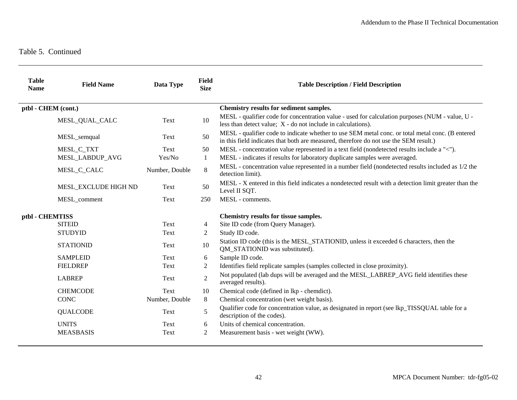| <b>Table</b><br><b>Name</b> | <b>Field Name</b>    | Data Type      | Field<br><b>Size</b> | <b>Table Description / Field Description</b>                                                                                                                                              |
|-----------------------------|----------------------|----------------|----------------------|-------------------------------------------------------------------------------------------------------------------------------------------------------------------------------------------|
| ptbl - CHEM (cont.)         |                      |                |                      | Chemistry results for sediment samples.                                                                                                                                                   |
|                             | MESL_QUAL_CALC       | Text           | 10                   | MESL - qualifier code for concentration value - used for calculation purposes (NUM - value, U -<br>less than detect value; X - do not include in calculations).                           |
|                             | MESL_semqual         | Text           | 50                   | MESL - qualifier code to indicate whether to use SEM metal conc. or total metal conc. (B entered<br>in this field indicates that both are measured, therefore do not use the SEM result.) |
|                             | MESL_C_TXT           | Text           | 50                   | MESL - concentration value represented in a text field (nondetected results include a "<").                                                                                               |
|                             | MESL_LABDUP_AVG      | Yes/No         | 1                    | MESL - indicates if results for laboratory duplicate samples were averaged.                                                                                                               |
|                             | MESL_C_CALC          | Number, Double | 8                    | MESL - concentration value represented in a number field (nondetected results included as 1/2 the<br>detection limit).                                                                    |
|                             | MESL EXCLUDE HIGH ND | Text           | 50                   | MESL - X entered in this field indicates a nondetected result with a detection limit greater than the<br>Level II SQT.                                                                    |
|                             | MESL_comment         | Text           | 250                  | MESL - comments.                                                                                                                                                                          |
| ptbl - CHEMTISS             |                      |                |                      | Chemistry results for tissue samples.                                                                                                                                                     |
|                             | <b>SITEID</b>        | Text           | $\overline{4}$       | Site ID code (from Query Manager).                                                                                                                                                        |
|                             | <b>STUDYID</b>       | Text           | 2                    | Study ID code.                                                                                                                                                                            |
|                             | <b>STATIONID</b>     | Text           | 10                   | Station ID code (this is the MESL_STATIONID, unless it exceeded 6 characters, then the<br>QM_STATIONID was substituted).                                                                  |
|                             | <b>SAMPLEID</b>      | Text           | 6                    | Sample ID code.                                                                                                                                                                           |
|                             | <b>FIELDREP</b>      | Text           | $\overline{2}$       | Identifies field replicate samples (samples collected in close proximity).                                                                                                                |
|                             | <b>LABREP</b>        | Text           | $\overline{2}$       | Not populated (lab dups will be averaged and the MESL_LABREP_AVG field identifies these<br>averaged results).                                                                             |
|                             | <b>CHEMCODE</b>      | Text           | 10                   | Chemical code (defined in lkp - chemdict).                                                                                                                                                |
|                             | <b>CONC</b>          | Number, Double | 8                    | Chemical concentration (wet weight basis).                                                                                                                                                |
|                             | <b>QUALCODE</b>      | Text           | 5                    | Qualifier code for concentration value, as designated in report (see lkp_TISSQUAL table for a<br>description of the codes).                                                               |
|                             | <b>UNITS</b>         | Text           | 6                    | Units of chemical concentration.                                                                                                                                                          |
|                             | <b>MEASBASIS</b>     | Text           | $\overline{c}$       | Measurement basis - wet weight (WW).                                                                                                                                                      |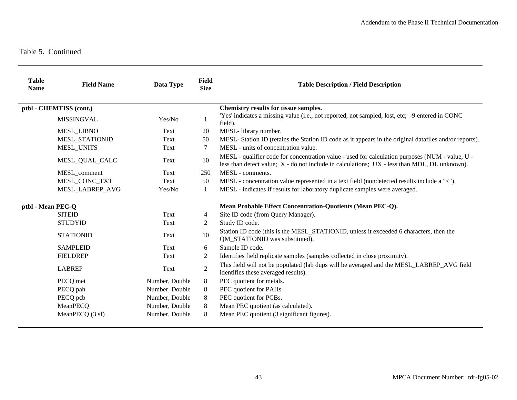| <b>Table</b><br><b>Name</b> | <b>Field Name</b> | Data Type      | <b>Field</b><br><b>Size</b>                                | <b>Table Description / Field Description</b>                                                                                                                                                        |
|-----------------------------|-------------------|----------------|------------------------------------------------------------|-----------------------------------------------------------------------------------------------------------------------------------------------------------------------------------------------------|
| ptbl - CHEMTISS (cont.)     |                   |                |                                                            | Chemistry results for tissue samples.                                                                                                                                                               |
|                             | <b>MISSINGVAL</b> | Yes/No         | 1                                                          | 'Yes' indicates a missing value (i.e., not reported, not sampled, lost, etc; -9 entered in CONC<br>field).                                                                                          |
|                             | <b>MESL LIBNO</b> | Text           | 20                                                         | MESL-library number.                                                                                                                                                                                |
|                             | MESL_STATIONID    | Text           | 50                                                         | MESL- Station ID (retains the Station ID code as it appears in the original datafiles and/or reports).                                                                                              |
|                             | <b>MESL_UNITS</b> | Text           | 7                                                          | MESL - units of concentration value.                                                                                                                                                                |
|                             | MESL_QUAL_CALC    | Text           | 10                                                         | MESL - qualifier code for concentration value - used for calculation purposes (NUM - value, U -<br>less than detect value; $X -$ do not include in calculations; $UX -$ less than MDL, DL unknown). |
|                             | MESL_comment      | Text           | 250                                                        | MESL - comments.                                                                                                                                                                                    |
|                             | MESL_CONC_TXT     | Text           | 50                                                         | MESL - concentration value represented in a text field (nondetected results include a "<").                                                                                                         |
|                             | MESL_LABREP_AVG   | Yes/No         | $\mathbf{1}$                                               | MESL - indicates if results for laboratory duplicate samples were averaged.                                                                                                                         |
| ptbl - Mean PEC-Q           |                   |                | Mean Probable Effect Concentration-Quotients (Mean PEC-Q). |                                                                                                                                                                                                     |
|                             | <b>SITEID</b>     | Text           | 4                                                          | Site ID code (from Query Manager).                                                                                                                                                                  |
|                             | <b>STUDYID</b>    | Text           | 2                                                          | Study ID code.                                                                                                                                                                                      |
|                             | <b>STATIONID</b>  | Text           | 10                                                         | Station ID code (this is the MESL_STATIONID, unless it exceeded 6 characters, then the<br>QM_STATIONID was substituted).                                                                            |
|                             | <b>SAMPLEID</b>   | Text           | 6                                                          | Sample ID code.                                                                                                                                                                                     |
|                             | <b>FIELDREP</b>   | Text           | 2                                                          | Identifies field replicate samples (samples collected in close proximity).                                                                                                                          |
|                             | <b>LABREP</b>     | Text           | $\overline{2}$                                             | This field will not be populated (lab dups will be averaged and the MESL_LABREP_AVG field<br>identifies these averaged results).                                                                    |
|                             | PECQ met          | Number, Double | 8                                                          | PEC quotient for metals.                                                                                                                                                                            |
|                             | PECQ pah          | Number, Double | 8                                                          | PEC quotient for PAHs.                                                                                                                                                                              |
|                             | PECQ pcb          | Number, Double | 8                                                          | PEC quotient for PCBs.                                                                                                                                                                              |
|                             | MeanPECQ          | Number, Double | 8                                                          | Mean PEC quotient (as calculated).                                                                                                                                                                  |
|                             | MeanPECQ (3 sf)   | Number, Double | 8                                                          | Mean PEC quotient (3 significant figures).                                                                                                                                                          |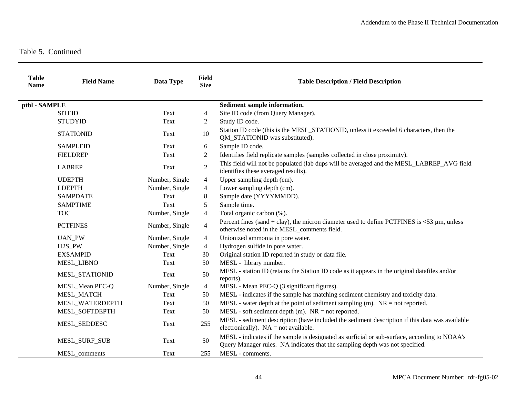| <b>Table</b><br><b>Name</b> | <b>Field Name</b>   | Data Type      | <b>Field</b><br><b>Size</b> | <b>Table Description / Field Description</b>                                                                                                                                  |
|-----------------------------|---------------------|----------------|-----------------------------|-------------------------------------------------------------------------------------------------------------------------------------------------------------------------------|
| ptbl - SAMPLE               |                     |                |                             | Sediment sample information.                                                                                                                                                  |
|                             | <b>SITEID</b>       | Text           | $\overline{4}$              | Site ID code (from Query Manager).                                                                                                                                            |
|                             | <b>STUDYID</b>      | Text           | 2                           | Study ID code.                                                                                                                                                                |
|                             | <b>STATIONID</b>    | Text           | 10                          | Station ID code (this is the MESL_STATIONID, unless it exceeded 6 characters, then the<br>QM_STATIONID was substituted).                                                      |
|                             | <b>SAMPLEID</b>     | Text           | 6                           | Sample ID code.                                                                                                                                                               |
|                             | <b>FIELDREP</b>     | Text           | 2                           | Identifies field replicate samples (samples collected in close proximity).                                                                                                    |
|                             | <b>LABREP</b>       | Text           | $\sqrt{2}$                  | This field will not be populated (lab dups will be averaged and the MESL_LABREP_AVG field<br>identifies these averaged results).                                              |
|                             | <b>UDEPTH</b>       | Number, Single | $\overline{4}$              | Upper sampling depth (cm).                                                                                                                                                    |
|                             | <b>LDEPTH</b>       | Number, Single | $\overline{4}$              | Lower sampling depth (cm).                                                                                                                                                    |
|                             | <b>SAMPDATE</b>     | Text           | 8                           | Sample date (YYYYMMDD).                                                                                                                                                       |
|                             | <b>SAMPTIME</b>     | Text           | 5                           | Sample time.                                                                                                                                                                  |
|                             | <b>TOC</b>          | Number, Single | $\overline{4}$              | Total organic carbon (%).                                                                                                                                                     |
|                             | <b>PCTFINES</b>     | Number, Single | $\overline{4}$              | Percent fines (sand + clay), the micron diameter used to define PCTFINES is $\lt 53 \mu$ m, unless<br>otherwise noted in the MESL_comments field.                             |
|                             | <b>UAN_PW</b>       | Number, Single | $\overline{4}$              | Unionized ammonia in pore water.                                                                                                                                              |
|                             | H <sub>2</sub> S PW | Number, Single | $\overline{4}$              | Hydrogen sulfide in pore water.                                                                                                                                               |
|                             | <b>EXSAMPID</b>     | Text           | 30                          | Original station ID reported in study or data file.                                                                                                                           |
|                             | MESL_LIBNO          | Text           | 50                          | MESL - library number.                                                                                                                                                        |
|                             | MESL_STATIONID      | Text           | 50                          | MESL - station ID (retains the Station ID code as it appears in the original datafiles and/or<br>reports).                                                                    |
|                             | MESL_Mean PEC-Q     | Number, Single | $\overline{4}$              | MESL - Mean PEC-Q (3 significant figures).                                                                                                                                    |
|                             | MESL_MATCH          | Text           | 50                          | MESL - indicates if the sample has matching sediment chemistry and toxicity data.                                                                                             |
|                             | MESL_WATERDEPTH     | Text           | 50                          | MESL - water depth at the point of sediment sampling (m). $NR = not$ reported.                                                                                                |
|                             | MESL_SOFTDEPTH      | Text           | 50                          | $MESL$ - soft sediment depth (m). $NR = not$ reported.                                                                                                                        |
|                             | MESL_SEDDESC        | Text           | 255                         | MESL - sediment description (have included the sediment description if this data was available<br>electronically). $NA = not available$ .                                     |
|                             | MESL_SURF_SUB       | Text           | 50                          | MESL - indicates if the sample is designated as surficial or sub-surface, according to NOAA's<br>Query Manager rules. NA indicates that the sampling depth was not specified. |
|                             | MESL_comments       | Text           | 255                         | MESL - comments.                                                                                                                                                              |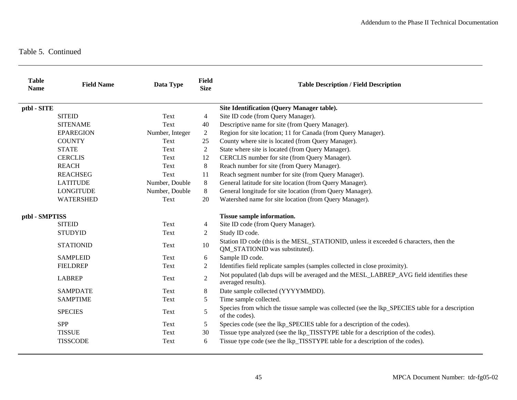| <b>Table</b><br><b>Name</b> | <b>Field Name</b> | Data Type       | <b>Field</b><br><b>Size</b> | <b>Table Description / Field Description</b>                                                                             |
|-----------------------------|-------------------|-----------------|-----------------------------|--------------------------------------------------------------------------------------------------------------------------|
| ptbl - SITE                 |                   |                 |                             | Site Identification (Query Manager table).                                                                               |
|                             | <b>SITEID</b>     | Text            | 4                           | Site ID code (from Query Manager).                                                                                       |
|                             | <b>SITENAME</b>   | Text            | 40                          | Descriptive name for site (from Query Manager).                                                                          |
|                             | <b>EPAREGION</b>  | Number, Integer | $\overline{2}$              | Region for site location; 11 for Canada (from Query Manager).                                                            |
|                             | <b>COUNTY</b>     | Text            | 25                          | County where site is located (from Query Manager).                                                                       |
|                             | <b>STATE</b>      | Text            | 2                           | State where site is located (from Query Manager).                                                                        |
|                             | <b>CERCLIS</b>    | Text            | 12                          | CERCLIS number for site (from Query Manager).                                                                            |
|                             | <b>REACH</b>      | Text            | 8                           | Reach number for site (from Query Manager).                                                                              |
|                             | <b>REACHSEG</b>   | Text            | 11                          | Reach segment number for site (from Query Manager).                                                                      |
|                             | <b>LATITUDE</b>   | Number, Double  | 8                           | General latitude for site location (from Query Manager).                                                                 |
|                             | <b>LONGITUDE</b>  | Number, Double  | 8                           | General longitude for site location (from Query Manager).                                                                |
|                             | <b>WATERSHED</b>  | Text            | 20                          | Watershed name for site location (from Query Manager).                                                                   |
| ptbl - SMPTISS              |                   |                 | Tissue sample information.  |                                                                                                                          |
|                             | <b>SITEID</b>     | Text            | 4                           | Site ID code (from Query Manager).                                                                                       |
|                             | <b>STUDYID</b>    | Text            | 2                           | Study ID code.                                                                                                           |
|                             | <b>STATIONID</b>  | Text            | 10                          | Station ID code (this is the MESL_STATIONID, unless it exceeded 6 characters, then the<br>QM_STATIONID was substituted). |
|                             | <b>SAMPLEID</b>   | Text            | 6                           | Sample ID code.                                                                                                          |
|                             | <b>FIELDREP</b>   | Text            | 2                           | Identifies field replicate samples (samples collected in close proximity).                                               |
|                             | <b>LABREP</b>     | Text            | 2                           | Not populated (lab dups will be averaged and the MESL_LABREP_AVG field identifies these<br>averaged results).            |
|                             | <b>SAMPDATE</b>   | Text            | $8\,$                       | Date sample collected (YYYYMMDD).                                                                                        |
|                             | <b>SAMPTIME</b>   | Text            | 5                           | Time sample collected.                                                                                                   |
|                             | <b>SPECIES</b>    | Text            | 5                           | Species from which the tissue sample was collected (see the lkp_SPECIES table for a description<br>of the codes).        |
|                             | <b>SPP</b>        | Text            | 5                           | Species code (see the lkp_SPECIES table for a description of the codes).                                                 |
|                             | <b>TISSUE</b>     | Text            | 30                          | Tissue type analyzed (see the lkp_TISSTYPE table for a description of the codes).                                        |
|                             | <b>TISSCODE</b>   | Text            | 6                           | Tissue type code (see the lkp_TISSTYPE table for a description of the codes).                                            |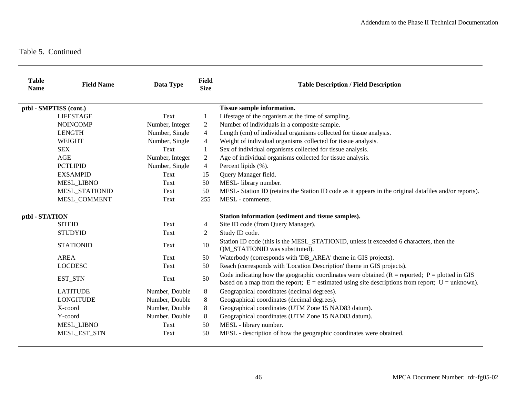| <b>Table</b><br><b>Name</b> | <b>Field Name</b>      | Data Type       | <b>Field</b><br><b>Size</b> | <b>Table Description / Field Description</b>                                                                                                                                                              |
|-----------------------------|------------------------|-----------------|-----------------------------|-----------------------------------------------------------------------------------------------------------------------------------------------------------------------------------------------------------|
|                             | ptbl - SMPTISS (cont.) |                 |                             | Tissue sample information.                                                                                                                                                                                |
|                             | <b>LIFESTAGE</b>       | Text            | 1                           | Lifestage of the organism at the time of sampling.                                                                                                                                                        |
|                             | <b>NOINCOMP</b>        | Number, Integer | 2                           | Number of individuals in a composite sample.                                                                                                                                                              |
|                             | <b>LENGTH</b>          | Number, Single  | $\overline{4}$              | Length (cm) of individual organisms collected for tissue analysis.                                                                                                                                        |
|                             | <b>WEIGHT</b>          | Number, Single  | 4                           | Weight of individual organisms collected for tissue analysis.                                                                                                                                             |
|                             | <b>SEX</b>             | Text            | 1                           | Sex of individual organisms collected for tissue analysis.                                                                                                                                                |
|                             | AGE                    | Number, Integer | $\overline{c}$              | Age of individual organisms collected for tissue analysis.                                                                                                                                                |
|                             | <b>PCTLIPID</b>        | Number, Single  | 4                           | Percent lipids (%).                                                                                                                                                                                       |
|                             | <b>EXSAMPID</b>        | Text            | 15                          | Query Manager field.                                                                                                                                                                                      |
|                             | <b>MESL LIBNO</b>      | Text            | 50                          | MESL- library number.                                                                                                                                                                                     |
|                             | <b>MESL STATIONID</b>  | Text            | 50                          | MESL- Station ID (retains the Station ID code as it appears in the original datafiles and/or reports).                                                                                                    |
|                             | <b>MESL COMMENT</b>    | Text            | 255                         | MESL - comments.                                                                                                                                                                                          |
| ptbl - STATION              |                        |                 |                             | Station information (sediment and tissue samples).                                                                                                                                                        |
|                             | <b>SITEID</b>          | Text            | 4                           | Site ID code (from Query Manager).                                                                                                                                                                        |
|                             | <b>STUDYID</b>         | Text            | $\overline{2}$              | Study ID code.                                                                                                                                                                                            |
|                             | <b>STATIONID</b>       | Text            | 10                          | Station ID code (this is the MESL_STATIONID, unless it exceeded 6 characters, then the<br>QM_STATIONID was substituted).                                                                                  |
|                             | <b>AREA</b>            | Text            | 50                          | Waterbody (corresponds with 'DB_AREA' theme in GIS projects).                                                                                                                                             |
|                             | <b>LOCDESC</b>         | Text            | 50                          | Reach (corresponds with 'Location Description' theme in GIS projects).                                                                                                                                    |
|                             | EST_STN                | Text            | 50                          | Code indicating how the geographic coordinates were obtained $(R = reported; P = plotted in GIS)$<br>based on a map from the report; $E =$ estimated using site descriptions from report; $U =$ unknown). |
|                             | <b>LATITUDE</b>        | Number, Double  | 8                           | Geographical coordinates (decimal degrees).                                                                                                                                                               |
|                             | <b>LONGITUDE</b>       | Number, Double  | $8\,$                       | Geographical coordinates (decimal degrees).                                                                                                                                                               |
|                             | X-coord                | Number, Double  | 8                           | Geographical coordinates (UTM Zone 15 NAD83 datum).                                                                                                                                                       |
|                             | Y-coord                | Number, Double  | 8                           | Geographical coordinates (UTM Zone 15 NAD83 datum).                                                                                                                                                       |
|                             | <b>MESL_LIBNO</b>      | Text            | 50                          | MESL - library number.                                                                                                                                                                                    |
|                             | MESL_EST_STN           | Text            | 50                          | MESL - description of how the geographic coordinates were obtained.                                                                                                                                       |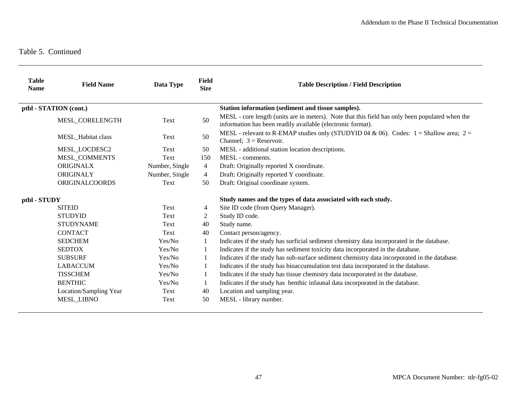| <b>Table</b><br><b>Name</b> | <b>Field Name</b>      | Data Type      | <b>Field</b><br><b>Size</b>                                   | <b>Table Description / Field Description</b>                                                                                                                   |
|-----------------------------|------------------------|----------------|---------------------------------------------------------------|----------------------------------------------------------------------------------------------------------------------------------------------------------------|
|                             | ptbl - STATION (cont.) |                |                                                               | Station information (sediment and tissue samples).                                                                                                             |
|                             | MESL_CORELENGTH        | Text           | 50                                                            | MESL - core length (units are in meters). Note that this field has only been populated when the<br>information has been readily available (electronic format). |
|                             | MESL_Habitat class     | Text           | 50                                                            | MESL - relevant to R-EMAP studies only (STUDYID 04 & 06). Codes: $1 =$ Shallow area; $2 =$<br>Channel; $3 =$ Reservoir.                                        |
|                             | MESL_LOCDESC2          | Text           | 50                                                            | MESL - additional station location descriptions.                                                                                                               |
|                             | <b>MESL COMMENTS</b>   | Text           | 150                                                           | MESL - comments.                                                                                                                                               |
|                             | <b>ORIGINALX</b>       | Number, Single | 4                                                             | Draft: Originally reported X coordinate.                                                                                                                       |
|                             | ORIGINALY              | Number, Single | 4                                                             | Draft: Originally reported Y coordinate.                                                                                                                       |
|                             | <b>ORIGINALCOORDS</b>  | Text           | 50                                                            | Draft: Original coordinate system.                                                                                                                             |
| ptbl - STUDY                |                        |                | Study names and the types of data associated with each study. |                                                                                                                                                                |
|                             | <b>SITEID</b>          | Text           | 4                                                             | Site ID code (from Query Manager).                                                                                                                             |
|                             | <b>STUDYID</b>         | Text           | 2                                                             | Study ID code.                                                                                                                                                 |
|                             | <b>STUDYNAME</b>       | Text           | 40                                                            | Study name.                                                                                                                                                    |
|                             | <b>CONTACT</b>         | Text           | 40                                                            | Contact person/agency.                                                                                                                                         |
|                             | <b>SEDCHEM</b>         | Yes/No         | 1                                                             | Indicates if the study has surficial sediment chemistry data incorporated in the database.                                                                     |
|                             | <b>SEDTOX</b>          | Yes/No         | 1                                                             | Indicates if the study has sediment toxicity data incorporated in the database.                                                                                |
|                             | <b>SUBSURF</b>         | Yes/No         | 1                                                             | Indicates if the study has sub-surface sediment chemistry data incorporated in the database.                                                                   |
|                             | <b>LABACCUM</b>        | Yes/No         |                                                               | Indicates if the study has bioaccumulation test data incorporated in the database.                                                                             |
|                             | <b>TISSCHEM</b>        | Yes/No         |                                                               | Indicates if the study has tissue chemistry data incorporated in the database.                                                                                 |
|                             | <b>BENTHIC</b>         | Yes/No         | 1                                                             | Indicates if the study has benthic infaunal data incorporated in the database.                                                                                 |
|                             | Location/Sampling Year | Text           | 40                                                            | Location and sampling year.                                                                                                                                    |
|                             | <b>MESL_LIBNO</b>      | Text           | 50                                                            | MESL - library number.                                                                                                                                         |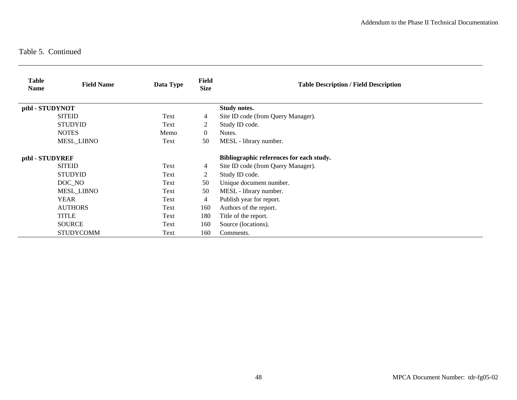| <b>Table</b><br><b>Name</b> | <b>Field Name</b> | Data Type | <b>Field</b><br><b>Size</b>              | <b>Table Description / Field Description</b> |
|-----------------------------|-------------------|-----------|------------------------------------------|----------------------------------------------|
| ptbl - STUDYNOT             |                   |           |                                          | <b>Study notes.</b>                          |
|                             | <b>SITEID</b>     | Text      | 4                                        | Site ID code (from Query Manager).           |
|                             | <b>STUDYID</b>    | Text      | 2                                        | Study ID code.                               |
|                             | <b>NOTES</b>      | Memo      | $\Omega$                                 | Notes.                                       |
|                             | <b>MESL LIBNO</b> | Text      | 50                                       | MESL - library number.                       |
| ptbl - STUDYREF             |                   |           | Bibliographic references for each study. |                                              |
|                             | <b>SITEID</b>     | Text      | 4                                        | Site ID code (from Query Manager).           |
|                             | <b>STUDYID</b>    | Text      | 2                                        | Study ID code.                               |
|                             | DOC NO            | Text      | 50                                       | Unique document number.                      |
|                             | <b>MESL_LIBNO</b> | Text      | 50                                       | MESL - library number.                       |
|                             | <b>YEAR</b>       | Text      | 4                                        | Publish year for report.                     |
|                             | <b>AUTHORS</b>    | Text      | 160                                      | Authors of the report.                       |
|                             | TITLE             | Text      | 180                                      | Title of the report.                         |
|                             | <b>SOURCE</b>     | Text      | 160                                      | Source (locations).                          |
|                             | <b>STUDYCOMM</b>  | Text      | 160                                      | Comments.                                    |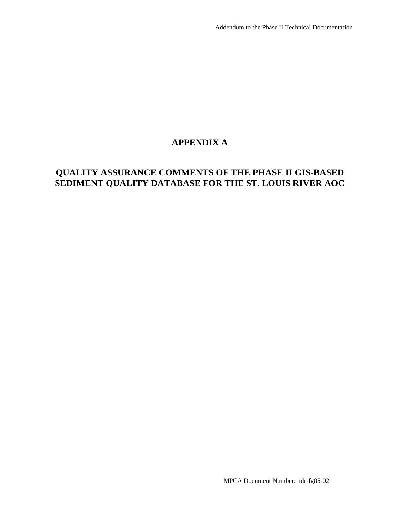# **APPENDIX A**

# **QUALITY ASSURANCE COMMENTS OF THE PHASE II GIS-BASED SEDIMENT QUALITY DATABASE FOR THE ST. LOUIS RIVER AOC**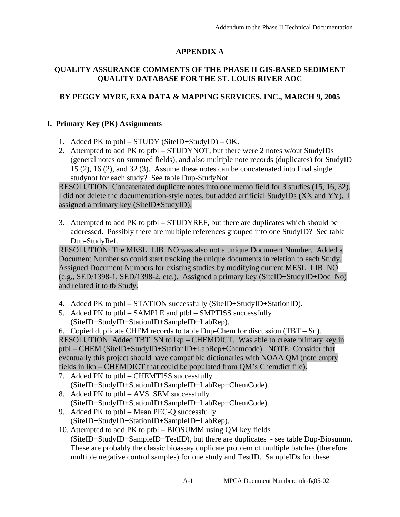# **APPENDIX A**

### **QUALITY ASSURANCE COMMENTS OF THE PHASE II GIS-BASED SEDIMENT QUALITY DATABASE FOR THE ST. LOUIS RIVER AOC**

# **BY PEGGY MYRE, EXA DATA & MAPPING SERVICES, INC., MARCH 9, 2005**

### **I. Primary Key (PK) Assignments**

- 1. Added PK to ptbl STUDY (SiteID+StudyID) OK.
- 2. Attempted to add PK to ptbl STUDYNOT, but there were 2 notes w/out StudyIDs (general notes on summed fields), and also multiple note records (duplicates) for StudyID 15 (2), 16 (2), and 32 (3). Assume these notes can be concatenated into final single studynot for each study? See table Dup-StudyNot

RESOLUTION: Concatenated duplicate notes into one memo field for 3 studies (15, 16, 32). I did not delete the documentation-style notes, but added artificial StudyIDs (XX and YY). I assigned a primary key (SiteID+StudyID).

3. Attempted to add PK to ptbl – STUDYREF, but there are duplicates which should be addressed. Possibly there are multiple references grouped into one StudyID? See table Dup-StudyRef.

RESOLUTION: The MESL\_LIB\_NO was also not a unique Document Number. Added a Document Number so could start tracking the unique documents in relation to each Study. Assigned Document Numbers for existing studies by modifying current MESL\_LIB\_NO (e.g., SED/1398-1, SED/1398-2, etc.). Assigned a primary key (SiteID+StudyID+Doc\_No) and related it to tblStudy.

- 4. Added PK to ptbl STATION successfully (SiteID+StudyID+StationID).
- 5. Added PK to ptbl SAMPLE and ptbl SMPTISS successfully (SiteID+StudyID+StationID+SampleID+LabRep).
- 6. Copied duplicate CHEM records to table Dup-Chem for discussion (TBT Sn).

RESOLUTION: Added TBT\_SN to lkp – CHEMDICT. Was able to create primary key in ptbl – CHEM (SiteID+StudyID+StationID+LabRep+Chemcode). NOTE: Consider that eventually this project should have compatible dictionaries with NOAA QM (note empty fields in lkp – CHEMDICT that could be populated from QM's Chemdict file).

- 7. Added PK to ptbl CHEMTISS successfully (SiteID+StudyID+StationID+SampleID+LabRep+ChemCode).
- 8. Added PK to ptbl AVS SEM successfully (SiteID+StudyID+StationID+SampleID+LabRep+ChemCode).
- 9. Added PK to ptbl Mean PEC-Q successfully (SiteID+StudyID+StationID+SampleID+LabRep).
- 10. Attempted to add PK to ptbl BIOSUMM using QM key fields (SiteID+StudyID+SampleID+TestID), but there are duplicates - see table Dup-Biosumm. These are probably the classic bioassay duplicate problem of multiple batches (therefore multiple negative control samples) for one study and TestID. SampleIDs for these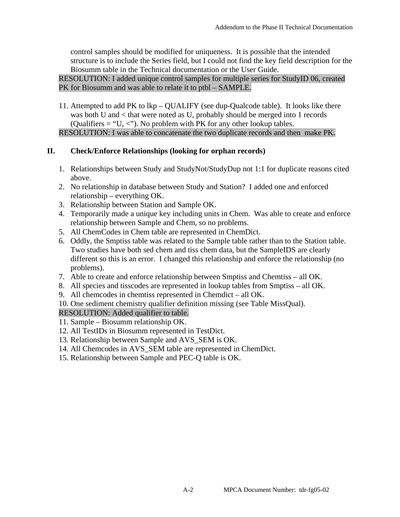control samples should be modified for uniqueness. It is possible that the intended structure is to include the Series field, but I could not find the key field description for the Biosumm table in the Technical documentation or the User Guide.

RESOLUTION: I added unique control samples for multiple series for StudyID 06, created PK for Biosumm and was able to relate it to ptbl – SAMPLE.

11. Attempted to add PK to lkp – QUALIFY (see dup-Qualcode table). It looks like there was both U and < that were noted as U, probably should be merged into 1 records (Qualifiers = "U, <"). No problem with PK for any other lookup tables. RESOLUTION: I was able to concatenate the two duplicate records and then make PK.

### **II. Check/Enforce Relationships (looking for orphan records)**

- 1. Relationships between Study and StudyNot/StudyDup not 1:1 for duplicate reasons cited above.
- 2. No relationship in database between Study and Station? I added one and enforced relationship – everything OK.
- 3. Relationship between Station and Sample OK.
- 4. Temporarily made a unique key including units in Chem. Was able to create and enforce relationship between Sample and Chem, so no problems.
- 5. All ChemCodes in Chem table are represented in ChemDict.
- 6. Oddly, the Smptiss table was related to the Sample table rather than to the Station table. Two studies have both sed chem and tiss chem data, but the SampleIDS are clearly different so this is an error. I changed this relationship and enforce the relationship (no problems).
- 7. Able to create and enforce relationship between Smptiss and Chemtiss all OK.
- 8. All species and tisscodes are represented in lookup tables from Smptiss all OK.
- 9. All chemcodes in chemtiss represented in Chemdict all OK.
- 10. One sediment chemistry qualifier definition missing (see Table MissQual).

### RESOLUTION: Added qualifier to table.

- 11. Sample Biosumm relationship OK.
- 12. All TestIDs in Biosumm represented in TestDict.
- 13. Relationship between Sample and AVS\_SEM is OK.
- 14. All Chemcodes in AVS\_SEM table are represented in ChemDict.
- 15. Relationship between Sample and PEC-Q table is OK.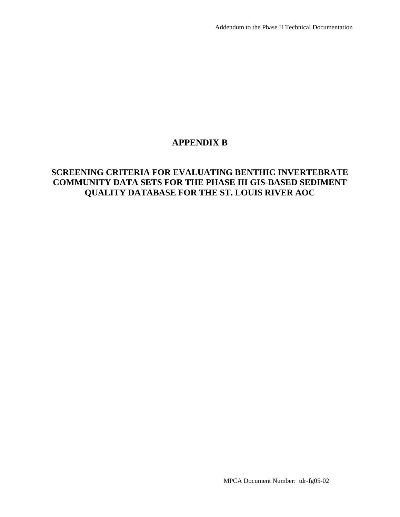# **APPENDIX B**

# **SCREENING CRITERIA FOR EVALUATING BENTHIC INVERTEBRATE COMMUNITY DATA SETS FOR THE PHASE III GIS-BASED SEDIMENT QUALITY DATABASE FOR THE ST. LOUIS RIVER AOC**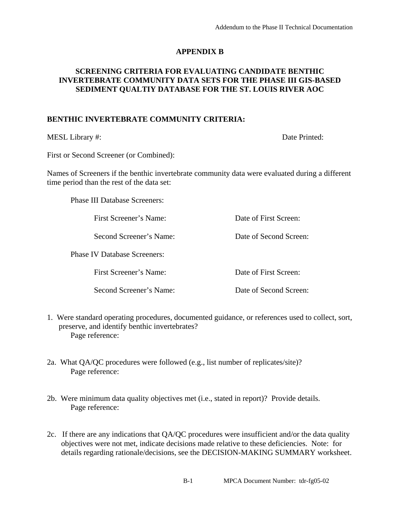### **APPENDIX B**

### **SCREENING CRITERIA FOR EVALUATING CANDIDATE BENTHIC INVERTEBRATE COMMUNITY DATA SETS FOR THE PHASE III GIS-BASED SEDIMENT QUALTIY DATABASE FOR THE ST. LOUIS RIVER AOC**

### **BENTHIC INVERTEBRATE COMMUNITY CRITERIA:**

MESL Library #: Date Printed:

First or Second Screener (or Combined):

Names of Screeners if the benthic invertebrate community data were evaluated during a different time period than the rest of the data set:

Phase III Database Screeners:

First Screener's Name: Date of First Screen:

Phase IV Database Screeners:

Second Screener's Name: Date of Second Screen:

First Screener's Name: Date of First Screen:

Second Screener's Name: Date of Second Screen:

- 1. Were standard operating procedures, documented guidance, or references used to collect, sort, preserve, and identify benthic invertebrates? Page reference:
- 2a. What QA/QC procedures were followed (e.g., list number of replicates/site)? Page reference:
- 2b. Were minimum data quality objectives met (i.e., stated in report)? Provide details. Page reference:
- 2c. If there are any indications that QA/QC procedures were insufficient and/or the data quality objectives were not met, indicate decisions made relative to these deficiencies. Note: for details regarding rationale/decisions, see the DECISION-MAKING SUMMARY worksheet.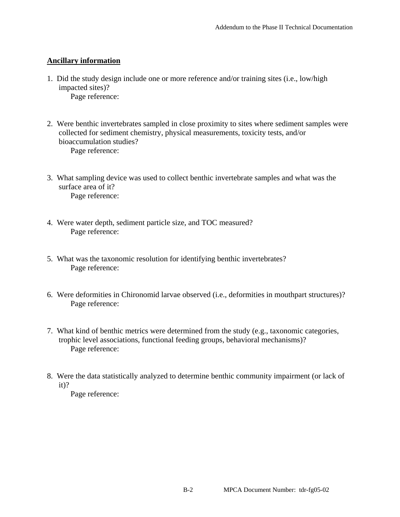### **Ancillary information**

1. Did the study design include one or more reference and/or training sites (i.e., low/high impacted sites)?

Page reference:

- 2. Were benthic invertebrates sampled in close proximity to sites where sediment samples were collected for sediment chemistry, physical measurements, toxicity tests, and/or bioaccumulation studies? Page reference:
- 3. What sampling device was used to collect benthic invertebrate samples and what was the surface area of it? Page reference:
- 4. Were water depth, sediment particle size, and TOC measured? Page reference:
- 5. What was the taxonomic resolution for identifying benthic invertebrates? Page reference:
- 6. Were deformities in Chironomid larvae observed (i.e., deformities in mouthpart structures)? Page reference:
- 7. What kind of benthic metrics were determined from the study (e.g., taxonomic categories, trophic level associations, functional feeding groups, behavioral mechanisms)? Page reference:
- 8. Were the data statistically analyzed to determine benthic community impairment (or lack of it)?

Page reference: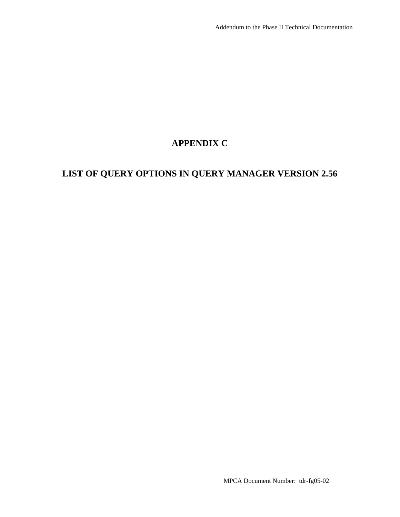# **APPENDIX C**

# **LIST OF QUERY OPTIONS IN QUERY MANAGER VERSION 2.56**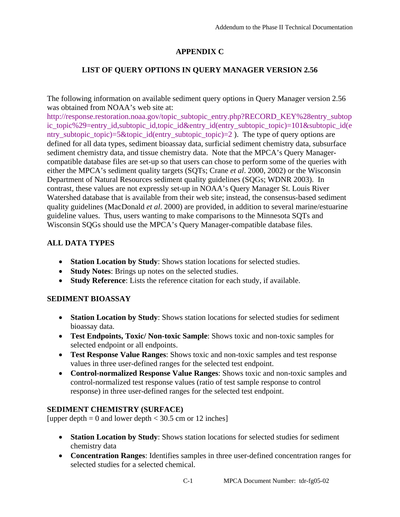# **APPENDIX C**

# **LIST OF QUERY OPTIONS IN QUERY MANAGER VERSION 2.56**

The following information on available sediment query options in Query Manager version 2.56 was obtained from NOAA's web site at:

http://response.restoration.noaa.gov/topic\_subtopic\_entry.php?RECORD\_KEY%28entry\_subtop [ic\\_topic%29=entry\\_id,subtopic\\_id,topic\\_id&entry\\_id\(entry\\_subtopic\\_topic\)=101&subtopic\\_id\(e](http://response.restoration.noaa.gov/topic_subtopic_entry.php?RECORD_KEY%28entry_subtopic_topic%29=entry_id,subtopic_id,topic_id&entry_id(entry_subtopic_topic)=101&subtopic_id(entry_subtopic_topic)=5&topic_id(entry_subtopic_topic)=2) ntry\_subtopic\_topic)=5&topic\_id(entry\_subtopic\_topic)=2 ). The type of query options are defined for all data types, sediment bioassay data, surficial sediment chemistry data, subsurface sediment chemistry data, and tissue chemistry data. Note that the MPCA's Query Managercompatible database files are set-up so that users can chose to perform some of the queries with either the MPCA's sediment quality targets (SQTs; Crane *et al*. 2000, 2002) or the Wisconsin Department of Natural Resources sediment quality guidelines (SQGs; WDNR 2003). In contrast, these values are not expressly set-up in NOAA's Query Manager St. Louis River Watershed database that is available from their web site; instead, the consensus-based sediment quality guidelines (MacDonald *et al*. 2000) are provided, in addition to several marine/estuarine guideline values. Thus, users wanting to make comparisons to the Minnesota SQTs and Wisconsin SQGs should use the MPCA's Query Manager-compatible database files.

# **ALL DATA TYPES**

- **Station Location by Study**: Shows station locations for selected studies.
- **Study Notes**: Brings up notes on the selected studies.
- **Study Reference**: Lists the reference citation for each study, if available.

### **SEDIMENT BIOASSAY**

- **Station Location by Study**: Shows station locations for selected studies for sediment bioassay data.
- **Test Endpoints, Toxic/ Non-toxic Sample**: Shows toxic and non-toxic samples for selected endpoint or all endpoints.
- **Test Response Value Ranges**: Shows toxic and non-toxic samples and test response values in three user-defined ranges for the selected test endpoint.
- **Control-normalized Response Value Ranges**: Shows toxic and non-toxic samples and control-normalized test response values (ratio of test sample response to control response) in three user-defined ranges for the selected test endpoint.

### **SEDIMENT CHEMISTRY (SURFACE)**

[upper depth  $= 0$  and lower depth  $< 30.5$  cm or 12 inches]

- **Station Location by Study**: Shows station locations for selected studies for sediment chemistry data
- **Concentration Ranges**: Identifies samples in three user-defined concentration ranges for selected studies for a selected chemical.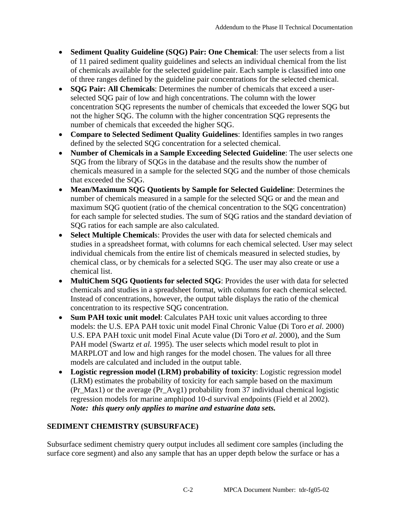- **Sediment Quality Guideline (SQG) Pair: One Chemical**: The user selects from a list of 11 paired sediment quality guidelines and selects an individual chemical from the list of chemicals available for the selected guideline pair. Each sample is classified into one of three ranges defined by the guideline pair concentrations for the selected chemical.
- **SQG Pair: All Chemicals**: Determines the number of chemicals that exceed a userselected SQG pair of low and high concentrations. The column with the lower concentration SQG represents the number of chemicals that exceeded the lower SQG but not the higher SQG. The column with the higher concentration SQG represents the number of chemicals that exceeded the higher SQG.
- **Compare to Selected Sediment Quality Guidelines**: Identifies samples in two ranges defined by the selected SQG concentration for a selected chemical.
- **Number of Chemicals in a Sample Exceeding Selected Guideline**: The user selects one SQG from the library of SQGs in the database and the results show the number of chemicals measured in a sample for the selected SQG and the number of those chemicals that exceeded the SQG.
- **Mean/Maximum SQG Quotients by Sample for Selected Guideline**: Determines the number of chemicals measured in a sample for the selected SQG or and the mean and maximum SQG quotient (ratio of the chemical concentration to the SQG concentration) for each sample for selected studies. The sum of SQG ratios and the standard deviation of SQG ratios for each sample are also calculated.
- **Select Multiple Chemical**s: Provides the user with data for selected chemicals and studies in a spreadsheet format, with columns for each chemical selected. User may select individual chemicals from the entire list of chemicals measured in selected studies, by chemical class, or by chemicals for a selected SQG. The user may also create or use a chemical list.
- **MultiChem SQG Quotients for selected SQG**: Provides the user with data for selected chemicals and studies in a spreadsheet format, with columns for each chemical selected. Instead of concentrations, however, the output table displays the ratio of the chemical concentration to its respective SQG concentration.
- **Sum PAH toxic unit model:** Calculates PAH toxic unit values according to three models: the U.S. EPA PAH toxic unit model Final Chronic Value (Di Toro *et al*. 2000) U.S. EPA PAH toxic unit model Final Acute value (Di Toro *et al*. 2000), and the Sum PAH model (Swartz *et al.* 1995). The user selects which model result to plot in MARPLOT and low and high ranges for the model chosen. The values for all three models are calculated and included in the output table.
- **Logistic regression model (LRM) probability of toxicity**: Logistic regression model (LRM) estimates the probability of toxicity for each sample based on the maximum (Pr\_Max1) or the average (Pr\_Avg1) probability from 37 individual chemical logistic regression models for marine amphipod 10-d survival endpoints (Field et al 2002). *Note: this query only applies to marine and estuarine data sets.*

# **SEDIMENT CHEMISTRY (SUBSURFACE)**

Subsurface sediment chemistry query output includes all sediment core samples (including the surface core segment) and also any sample that has an upper depth below the surface or has a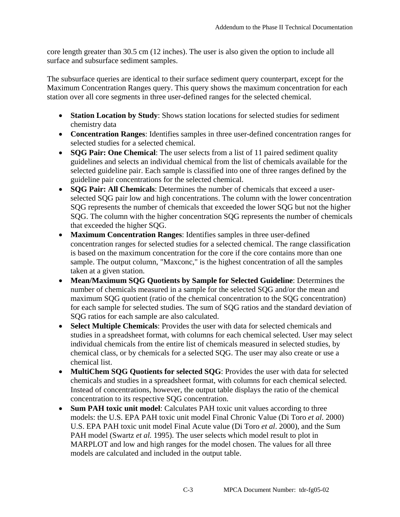core length greater than 30.5 cm (12 inches). The user is also given the option to include all surface and subsurface sediment samples.

The subsurface queries are identical to their surface sediment query counterpart, except for the Maximum Concentration Ranges query. This query shows the maximum concentration for each station over all core segments in three user-defined ranges for the selected chemical.

- **Station Location by Study**: Shows station locations for selected studies for sediment chemistry data
- **Concentration Ranges**: Identifies samples in three user-defined concentration ranges for selected studies for a selected chemical.
- **SQG Pair: One Chemical**: The user selects from a list of 11 paired sediment quality guidelines and selects an individual chemical from the list of chemicals available for the selected guideline pair. Each sample is classified into one of three ranges defined by the guideline pair concentrations for the selected chemical.
- **SQG Pair: All Chemicals**: Determines the number of chemicals that exceed a userselected SQG pair low and high concentrations. The column with the lower concentration SQG represents the number of chemicals that exceeded the lower SQG but not the higher SQG. The column with the higher concentration SQG represents the number of chemicals that exceeded the higher SQG.
- **Maximum Concentration Ranges**: Identifies samples in three user-defined concentration ranges for selected studies for a selected chemical. The range classification is based on the maximum concentration for the core if the core contains more than one sample. The output column, "Maxconc," is the highest concentration of all the samples taken at a given station.
- **Mean/Maximum SQG Quotients by Sample for Selected Guideline**: Determines the number of chemicals measured in a sample for the selected SQG and/or the mean and maximum SQG quotient (ratio of the chemical concentration to the SQG concentration) for each sample for selected studies. The sum of SQG ratios and the standard deviation of SQG ratios for each sample are also calculated.
- **Select Multiple Chemicals**: Provides the user with data for selected chemicals and studies in a spreadsheet format, with columns for each chemical selected. User may select individual chemicals from the entire list of chemicals measured in selected studies, by chemical class, or by chemicals for a selected SQG. The user may also create or use a chemical list.
- **MultiChem SQG Quotients for selected SQG**: Provides the user with data for selected chemicals and studies in a spreadsheet format, with columns for each chemical selected. Instead of concentrations, however, the output table displays the ratio of the chemical concentration to its respective SQG concentration.
- **Sum PAH toxic unit model**: Calculates PAH toxic unit values according to three models: the U.S. EPA PAH toxic unit model Final Chronic Value (Di Toro *et al*. 2000) U.S. EPA PAH toxic unit model Final Acute value (Di Toro *et al*. 2000), and the Sum PAH model (Swartz *et al.* 1995). The user selects which model result to plot in MARPLOT and low and high ranges for the model chosen. The values for all three models are calculated and included in the output table.